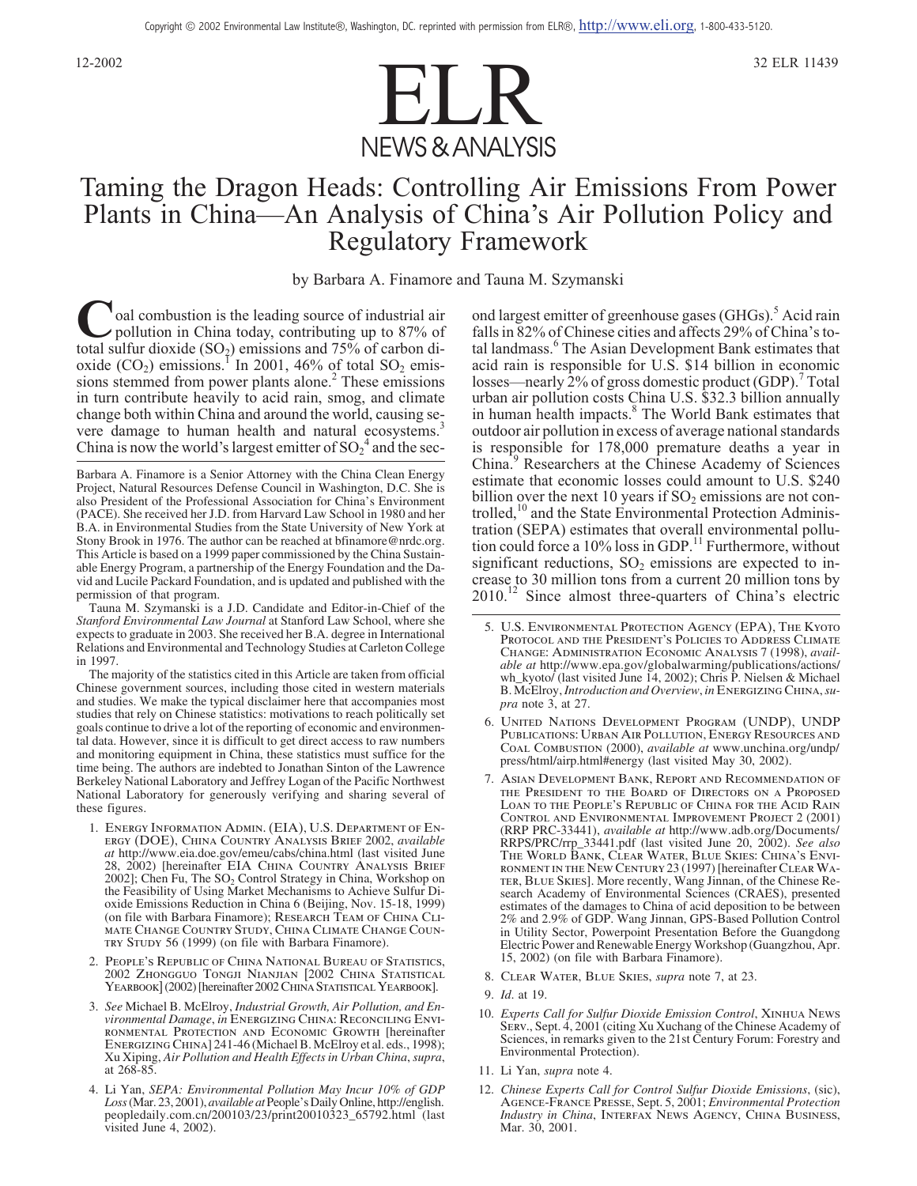

# Taming the Dragon Heads: Controlling Air Emissions From Power Plants in China—An Analysis of China's Air Pollution Policy and Regulatory Framework

by Barbara A. Finamore and Tauna M. Szymanski

**C**oal combustion is the leading source of industrial air<br>pollution in China today, contributing up to 87% of<br>total sulfur dioxide (SO<sub>b</sub>) emissions and 75% of carbon ditotal sulfur dioxide  $(SO_2)$  emissions and 75% of carbon dioxide  $(CO_2)$  emissions.<sup>1</sup> In 2001, 46% of total SO<sub>2</sub> emissions stemmed from power plants alone.<sup>2</sup> These emissions in turn contribute heavily to acid rain, smog, and climate change both within China and around the world, causing severe damage to human health and natural ecosystems.<sup>3</sup> China is now the world's largest emitter of  ${SO_2}^4$  and the sec-

Tauna M. Szymanski is a J.D. Candidate and Editor-in-Chief of the *Stanford Environmental Law Journal* at Stanford Law School, where she expects to graduate in 2003. She received her B.A. degree in International Relations and Environmental and Technology Studies at Carleton College in 1997.

The majority of the statistics cited in this Article are taken from official Chinese government sources, including those cited in western materials and studies. We make the typical disclaimer here that accompanies most studies that rely on Chinese statistics: motivations to reach politically set goals continue to drive a lot of the reporting of economic and environmental data. However, since it is difficult to get direct access to raw numbers and monitoring equipment in China, these statistics must suffice for the time being. The authors are indebted to Jonathan Sinton of the Lawrence Berkeley National Laboratory and Jeffrey Logan of the Pacific Northwest National Laboratory for generously verifying and sharing several of these figures.

- 1. *Energy Information Admin. (EIA), U.S. Department of Energy (DOE), China Country Analysis Brief* 2002, *available at* http://www.eia.doe.gov/emeu/cabs/china.html (last visited June 28, 2002) [hereinafter *EIA China Country Analysis Brief* 2002]; Chen Fu, The SO<sub>2</sub> Control Strategy in China, Workshop on the Feasibility of Using Market Mechanisms to Achieve Sulfur Dioxide Emissions Reduction in China 6 (Beijing, Nov. 15-18, 1999) (on file with Barbara Finamore); *Research Team of China Climate Change Country Study, China Climate Change Country Study* 56 (1999) (on file with Barbara Finamore).
- 2. *People's Republic of China National Bureau of Statistics,* 2002 *Zhongguo Tongji Nianjian [*2002 *China Statistical Yearbook]*(2002) [hereinafter 2002*China StatisticalYearbook*].
- 3. *See* Michael B. McElroy, *Industrial Growth, Air Pollution, and Environmental Damage*, *in Energizing China: Reconciling Environmental Protection and Economic Growth* [hereinafter *Energizing China*] 241-46 (Michael B. McElroy et al. eds., 1998); Xu Xiping, *Air Pollution and Health Effects in Urban China*,*supra*, at 268-85.
- 4. Li Yan, *SEPA: Environmental Pollution May Incur 10% of GDP Loss*(Mar. 23, 2001), *available at*People's Daily Online, http://english. peopledaily.com.cn/200103/23/print20010323\_65792.html (last visited June 4, 2002).

ond largest emitter of greenhouse gases (GHGs).<sup>5</sup> Acid rain falls in 82% of Chinese cities and affects 29% of China's total landmass.<sup>6</sup> The Asian Development Bank estimates that acid rain is responsible for U.S. \$14 billion in economic losses—nearly 2% of gross domestic product (GDP).<sup>7</sup> Total urban air pollution costs China U.S. \$32.3 billion annually in human health impacts.<sup>8</sup> The World Bank estimates that outdoor air pollution in excess of average national standards is responsible for 178,000 premature deaths a year in China.<sup>9</sup> Researchers at the Chinese Academy of Sciences estimate that economic losses could amount to U.S. \$240 billion over the next 10 years if  $SO_2$  emissions are not controlled,<sup>10</sup> and the State Environmental Protection Administration (SEPA) estimates that overall environmental pollution could force a 10% loss in GDP.<sup>11</sup> Furthermore, without significant reductions,  $SO<sub>2</sub>$  emissions are expected to increase to 30 million tons from a current 20 million tons by 2010.<sup>12</sup> Since almost three-quarters of China's electric

- 6. *United Nations Development Program (UNDP), UNDP Publications: Urban Air Pollution, Energy Resources and Coal Combustion* (2000), *available at* www.unchina.org/undp/ press/html/airp.html#energy (last visited May 30, 2002).
- 7. *Asian Development Bank, Report and Recommendation of the President to the Board of Directors on a Proposed Loan to the People's Republic of China for the Acid Rain Control and Environmental Improvement Project* 2 (2001) (RRP PRC-33441), *available at* http://www.adb.org/Documents/ RRPS/PRC/rrp\_33441.pdf (last visited June 20, 2002). *See also The World Bank, Clear Water, Blue Skies: China's Environment in the New Century* 23 (1997) [hereinafter *ClearWater, Blue Skies*]. More recently, Wang Jinnan, of the Chinese Research Academy of Environmental Sciences (CRAES), presented estimates of the damages to China of acid deposition to be between 2% and 2.9% of GDP. Wang Jinnan, GPS-Based Pollution Control in Utility Sector, Powerpoint Presentation Before the Guangdong Electric Power and Renewable Energy Workshop (Guangzhou, Apr. 15, 2002) (on file with Barbara Finamore).
- 8. *Clear Water, Blue Skies*, *supra* note 7, at 23.
- 9. *Id*. at 19.
- 10. *Experts Call for Sulfur Dioxide Emission Control*, *Xinhua News Serv.*, Sept. 4, 2001 (citing Xu Xuchang of the Chinese Academy of Sciences, in remarks given to the 21st Century Forum: Forestry and Environmental Protection).
- 11. Li Yan, *supra* note 4.
- 12. *Chinese Experts Call for Control Sulfur Dioxide Emissions*, (sic), *Agence-France Presse*, Sept. 5, 2001; *Environmental Protection Industry in China*, *Interfax News Agency, China Business*, Mar. 30, 2001.

Barbara A. Finamore is a Senior Attorney with the China Clean Energy Project, Natural Resources Defense Council in Washington, D.C. She is also President of the Professional Association for China's Environment (PACE). She received her J.D. from Harvard Law School in 1980 and her B.A. in Environmental Studies from the State University of New York at Stony Brook in 1976. The author can be reached at bfinamore@nrdc.org. This Article is based on a 1999 paper commissioned by the China Sustainable Energy Program, a partnership of the Energy Foundation and the David and Lucile Packard Foundation, and is updated and published with the permission of that program.

<sup>5.</sup> *U.S. Environmental Protection Agency (EPA), The Kyoto Protocol and the President's Policies to Address Climate Change: Administration Economic Analysis* 7 (1998), *available at* http://www.epa.gov/globalwarming/publications/actions/ wh\_kyoto/ (last visited June 14, 2002); Chris P. Nielsen & Michael B. McElroy,*Introduction and Overview*, *in Energizing China*,*su- pra* note 3, at 27.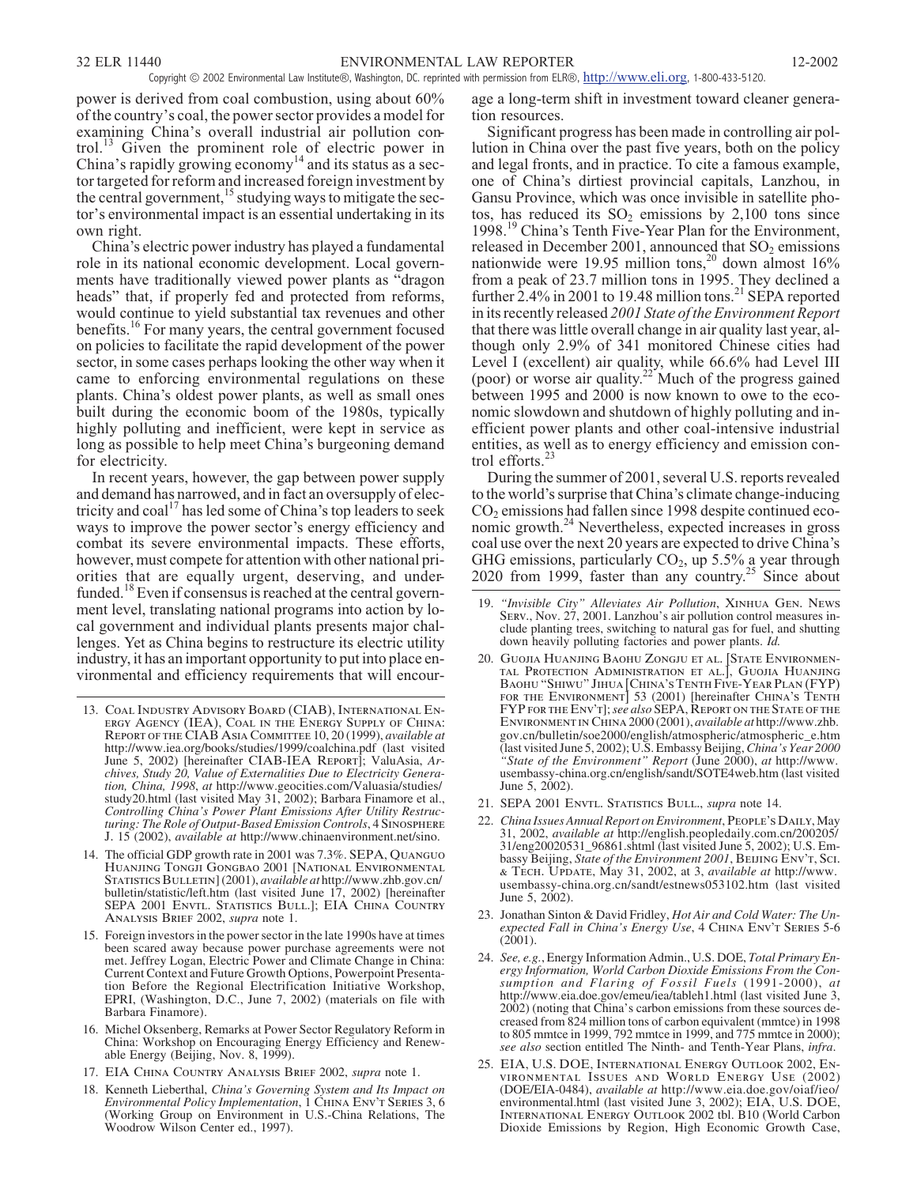power is derived from coal combustion, using about 60% of the country's coal, the power sector provides a model for examining China's overall industrial air pollution control.<sup>13</sup> Given the prominent role of electric power in China's rapidly growing economy<sup>14</sup> and its status as a sector targeted for reform and increased foreign investment by the central government,  $\frac{15}{15}$  studying ways to mitigate the sector's environmental impact is an essential undertaking in its own right.

China's electric power industry has played a fundamental role in its national economic development. Local governments have traditionally viewed power plants as "dragon heads" that, if properly fed and protected from reforms, would continue to yield substantial tax revenues and other benefits.<sup>16</sup> For many years, the central government focused on policies to facilitate the rapid development of the power sector, in some cases perhaps looking the other way when it came to enforcing environmental regulations on these plants. China's oldest power plants, as well as small ones built during the economic boom of the 1980s, typically highly polluting and inefficient, were kept in service as long as possible to help meet China's burgeoning demand for electricity.

In recent years, however, the gap between power supply and demand has narrowed, and in fact an oversupply of electricity and  $\cosh^{17}$  has led some of China's top leaders to seek ways to improve the power sector's energy efficiency and combat its severe environmental impacts. These efforts, however, must compete for attention with other national priorities that are equally urgent, deserving, and underfunded.<sup>18</sup> Even if consensus is reached at the central government level, translating national programs into action by local government and individual plants presents major challenges. Yet as China begins to restructure its electric utility industry, it has an important opportunity to put into place environmental and efficiency requirements that will encour-

- 13. *Coal Industry Advisory Board (CIAB), International En- ergy Agency (IEA), Coal in the Energy Supply of China: Report of the CIAB Asia Committee* 10, 20 (1999), *available at* http://www.iea.org/books/studies/1999/coalchina.pdf (last visited June 5, 2002) [hereinafter CIAB-IEA REPORT]; ValuAsia, Archives, Study 20, Value of Externalities Due to Electricity Generation, China, 1998, at http://www.geocities.com/Valuasia/studies/ study20.html (last visited May 31, 2002); Barbara Finamore et al., *Controlling China's Power Plant Emissions After Utility Restructuring: The Role of Output-Based Emission Controls*, 4 *Sinosphere J.* 15 (2002), *available at* http://www.chinaenvironment.net/sino.
- 14. The official GDP growth rate in 2001 was 7.3%. *SEPA, Quanguo Huanjing Tongji Gongbao* 2001 [*National Environmental Statistics Bulletin*] (2001), *available at* http://www.zhb.gov.cn/ bulletin/statistic/left.htm (last visited June 17, 2002) [hereinafter SEPA 2001 *Envtl. Statistics Bull.*]; *EIA China Country Analysis Brief* 2002, *supra* note 1.
- 15. Foreign investors in the power sector in the late 1990s have at times been scared away because power purchase agreements were not met. Jeffrey Logan, Electric Power and Climate Change in China: Current Context and Future Growth Options, Powerpoint Presentation Before the Regional Electrification Initiative Workshop, EPRI, (Washington, D.C., June 7, 2002) (materials on file with Barbara Finamore).
- 16. Michel Oksenberg, Remarks at Power Sector Regulatory Reform in China: Workshop on Encouraging Energy Efficiency and Renewable Energy (Beijing, Nov. 8, 1999).
- 17. *EIA China Country Analysis Brief* 2002, *supra* note 1.
- 18. Kenneth Lieberthal, *China's Governing System and Its Impact on Environmental Policy Implementation*, 1 *China Env't Series* 3, 6 (Working Group on Environment in U.S.-China Relations, The Woodrow Wilson Center ed., 1997).

age a long-term shift in investment toward cleaner generation resources.

Significant progress has been made in controlling air pollution in China over the past five years, both on the policy and legal fronts, and in practice. To cite a famous example, one of China's dirtiest provincial capitals, Lanzhou, in Gansu Province, which was once invisible in satellite photos, has reduced its  $SO_2$  emissions by 2,100 tons since 1998.<sup>19</sup> China's Tenth Five-Year Plan for the Environment, released in December 2001, announced that  $SO<sub>2</sub>$  emissions nationwide were 19.95 million tons,<sup>20</sup> down almost  $16\%$ from a peak of 23.7 million tons in 1995. They declined a further  $2.4\%$  in 2001 to 19.48 million tons.<sup>21</sup> SEPA reported in its recently released *2001 State of the Environment Report* that there was little overall change in air quality last year, although only 2.9% of 341 monitored Chinese cities had Level I (excellent) air quality, while 66.6% had Level III (poor) or worse air quality.<sup>22</sup> Much of the progress gained between 1995 and 2000 is now known to owe to the economic slowdown and shutdown of highly polluting and inefficient power plants and other coal-intensive industrial entities, as well as to energy efficiency and emission control efforts. $\frac{3}{2}$ 

During the summer of 2001, several U.S. reports revealed to the world's surprise that China's climate change-inducing CO2 emissions had fallen since 1998 despite continued economic growth.<sup>24</sup> Nevertheless, expected increases in gross coal use over the next 20 years are expected to drive China's GHG emissions, particularly  $CO_2$ , up 5.5% a year through 2020 from 1999, faster than any country.<sup>25</sup> Since about

- 19. *"Invisible City" Alleviates Air Pollution*, *Xinhua Gen. News Serv.*, Nov. 27, 2001. Lanzhou's air pollution control measures include planting trees, switching to natural gas for fuel, and shutting down heavily polluting factories and power plants. *Id.*
- 20. *Guojia Huanjing Baohu Zongju et al. [State Environmental Protection Administration et al.], Guojia Huanjing Baohu "Shiwu" Jihua [China's Tenth Five-Year Plan (FYP) for the Environment]* 53 (2001) [hereinafter *China's Tenth FYP for the Env't*];*see also* SEPA, *Report on the State of the Environment in China* 2000 (2001), *available at* http://www.zhb. gov.cn/bulletin/soe2000/english/atmospheric/atmospheric\_e.htm (last visited June 5, 2002); U.S. Embassy Beijing,*China's Year 2000 "State of the Environment" Report* (June 2000), *at* http://www. usembassy-china.org.cn/english/sandt/SOTE4web.htm (last visited June 5, 2002).
- 21. SEPA 2001 *Envtl. Statistics Bull.*, *supra* note 14.
- 22. *China Issues Annual Report on Environment*,*People's Daily*, May 31, 2002, *available at* http://english.peopledaily.com.cn/200205/ 31/eng20020531\_96861.shtml (last visited June 5, 2002); U.S. Embassy Beijing, *State of the Environment 2001*, *Beijing Env't, Sci. & Tech. Update*, May 31, 2002, at 3, *available at* http://www. usembassy-china.org.cn/sandt/estnews053102.htm (last visited June 5, 2002).
- 23. Jonathan Sinton & David Fridley, *Hot Air and Cold Water: The Unexpected Fall in China's Energy Use*, 4 *China Env't Series* 5-6  $(2001)$ .
- 24. *See, e.g.*, Energy Information Admin., U.S. DOE, *Total Primary Energy Information, World Carbon Dioxide Emissions From the Consumption and Flaring of Fossil Fuels* (1991-2000), *at* http://www.eia.doe.gov/emeu/iea/tableh1.html (last visited June 3, 2002) (noting that China's carbon emissions from these sources decreased from 824 million tons of carbon equivalent (mmtce) in 1998 to 805 mmtce in 1999, 792 mmtce in 1999, and 775 mmtce in 2000); *see also* section entitled The Ninth- and Tenth-Year Plans, *infra*.
- 25. *EIA, U.S. DOE, International Energy Outlook* 2002, *Environmental Issues and World Energy Use* (2002) (DOE/EIA-0484), *available at* http://www.eia.doe.gov/oiaf/ieo/ environmental.html (last visited June 3, 2002); *EIA, U.S. DOE, International Energy Outlook* 2002 tbl. B10 (World Carbon Dioxide Emissions by Region, High Economic Growth Case,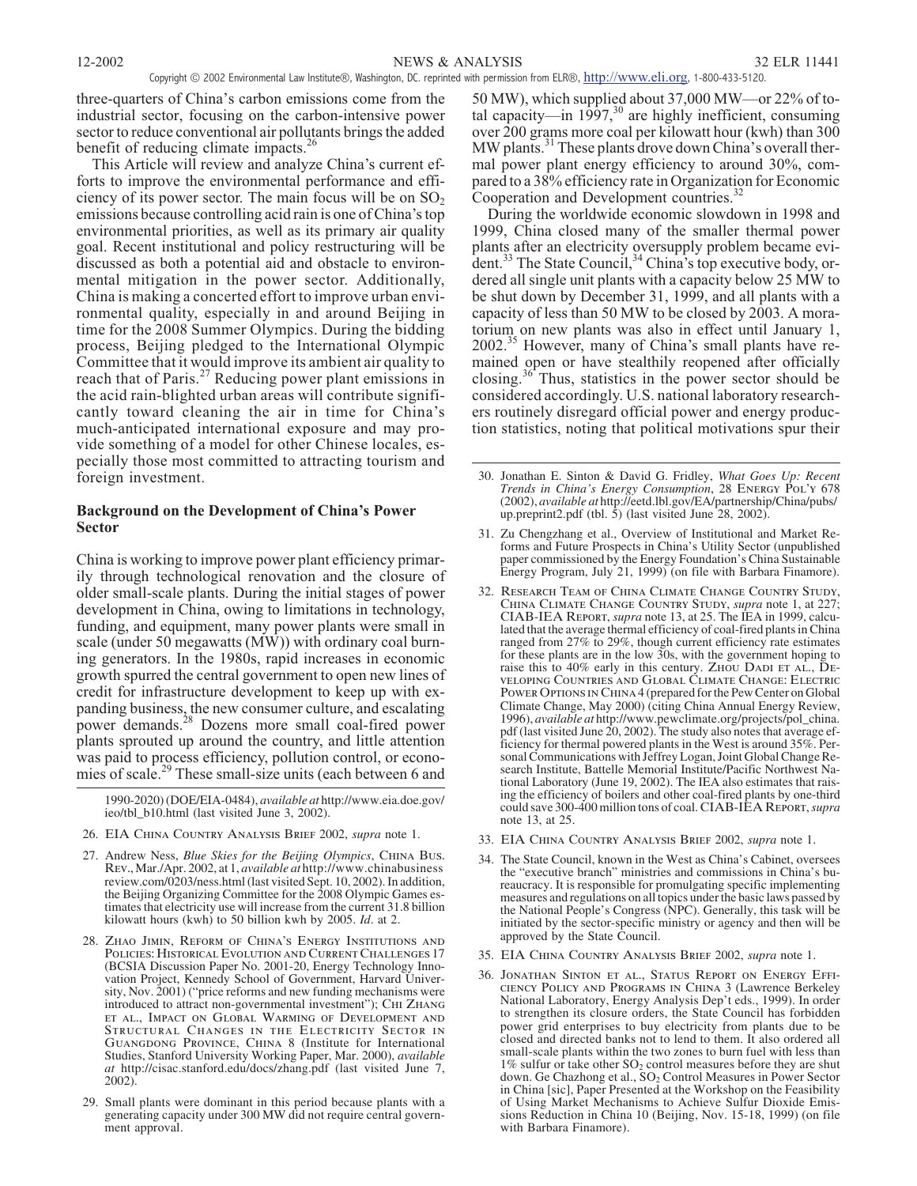three-quarters of China's carbon emissions come from the industrial sector, focusing on the carbon-intensive power sector to reduce conventional air pollutants brings the added benefit of reducing climate impacts.<sup>26</sup>

This Article will review and analyze China's current efforts to improve the environmental performance and efficiency of its power sector. The main focus will be on  $SO_2$ emissions because controlling acid rain is one of China's top environmental priorities, as well as its primary air quality goal. Recent institutional and policy restructuring will be discussed as both a potential aid and obstacle to environmental mitigation in the power sector. Additionally, China is making a concerted effort to improve urban environmental quality, especially in and around Beijing in time for the 2008 Summer Olympics. During the bidding process, Beijing pledged to the International Olympic Committee that it would improve its ambient air quality to reach that of Paris.<sup>27</sup> Reducing power plant emissions in the acid rain-blighted urban areas will contribute significantly toward cleaning the air in time for China's much-anticipated international exposure and may provide something of a model for other Chinese locales, especially those most committed to attracting tourism and foreign investment.

# **Background on the Development of China's Power Sector**

China is working to improve power plant efficiency primarily through technological renovation and the closure of older small-scale plants. During the initial stages of power development in China, owing to limitations in technology, funding, and equipment, many power plants were small in scale (under 50 megawatts (MW)) with ordinary coal burning generators. In the 1980s, rapid increases in economic growth spurred the central government to open new lines of credit for infrastructure development to keep up with expanding business, the new consumer culture, and escalating power demands.<sup>28</sup> Dozens more small coal-fired power plants sprouted up around the country, and little attention was paid to process efficiency, pollution control, or economies of scale.<sup>29</sup> These small-size units (each between 6 and

1990-2020) (DOE/EIA-0484), *available at* http://www.eia.doe.gov/ ieo/tbl\_b10.html (last visited June 3, 2002).

- 26. *EIA China Country Analysis Brief* 2002, *supra* note 1.
- 27. Andrew Ness, *Blue Skies for the Beijing Olympics*, *China Bus. Rev.*, Mar./Apr. 2002, at 1, *available at* http://www.chinabusiness review.com/0203/ness.html (last visited Sept. 10, 2002). In addition, the Beijing Organizing Committee for the 2008 Olympic Games estimates that electricity use will increase from the current 31.8 billion kilowatt hours (kwh) to 50 billion kwh by 2005. *Id*. at 2.
- 28. *Zhao Jimin, Reform of China's Energy Institutions and Policies: Historical Evolution and Current Challenges* 17 (BCSIA Discussion Paper No. 2001-20, Energy Technology Innovation Project, Kennedy School of Government, Harvard University, Nov. 2001) ("price reforms and new funding mechanisms were introduced to attract non-governmental investment"); *Chi Zhang et al., Impact on Global Warming of Development and Structural Changes in the Electricity Sector in Guangdong Province, China* 8 (Institute for International Studies, Stanford University Working Paper, Mar. 2000), *available at* http://cisac.stanford.edu/docs/zhang.pdf (last visited June 7, 2002).
- 29. Small plants were dominant in this period because plants with a generating capacity under 300 MW did not require central government approval.

50 MW), which supplied about 37,000 MW—or 22% of total capacity—in  $1997$ ,<sup>30</sup> are highly inefficient, consuming over 200 grams more coal per kilowatt hour (kwh) than 300 MW plants.<sup>31</sup> These plants drove down China's overall thermal power plant energy efficiency to around 30%, compared to a 38% efficiency rate in Organization for Economic Cooperation and Development countries.<sup>32</sup>

During the worldwide economic slowdown in 1998 and 1999, China closed many of the smaller thermal power plants after an electricity oversupply problem became evident.<sup>33</sup> The State Council,<sup>34</sup> China's top executive body, ordered all single unit plants with a capacity below 25 MW to be shut down by December 31, 1999, and all plants with a capacity of less than 50 MW to be closed by 2003. A moratorium on new plants was also in effect until January 1, 2002.<sup>35</sup> However, many of China's small plants have remained open or have stealthily reopened after officially closing.<sup>36</sup> Thus, statistics in the power sector should be considered accordingly. U.S. national laboratory researchers routinely disregard official power and energy production statistics, noting that political motivations spur their

- 31. Zu Chengzhang et al., Overview of Institutional and Market Reforms and Future Prospects in China's Utility Sector (unpublished paper commissioned by the Energy Foundation's China Sustainable Energy Program, July 21, 1999) (on file with Barbara Finamore).
- 32. *Research Team of China Climate Change Country Study, China Climate Change Country Study*, *supra* note 1, at 227; *CIAB-IEA Report*, *supra* note 13, at 25. The IEA in 1999, calculated that the average thermal efficiency of coal-fired plants in China ranged from 27% to 29%, though current efficiency rate estimates for these plants are in the low 30s, with the government hoping to raise this to 40% early in this century. *Zhou Dadi et al., Developing Countries and Global Climate Change: Electric Power Options in China* 4 (prepared for the Pew Center on Global Climate Change, May 2000) (citing China Annual Energy Review, 1996), *available at* http://www.pewclimate.org/projects/pol\_china. ficiency for thermal powered plants in the West is around 35%. Personal Communications with Jeffrey Logan, Joint Global Change Research Institute, Battelle Memorial Institute/Pacific Northwest National Laboratory (June 19, ing the efficiency of boilers and other coal-fired plants by one-third could save 300-400 million tons of coal. *CIAB-IEA Report*,*supra* note 13, at 25.
- 33. *EIA China Country Analysis Brief* 2002, *supra* note 1.
- 34. The State Council, known in the West as China's Cabinet, oversees the "executive branch" ministries and commissions in China's bureaucracy. It is responsible for promulgating specific implementing measures and regulations on all topics under the basic laws passed by the National People's Congress (NPC). Generally, this task will be initiated by the sector-specific ministry or agency and then will be approved by the State Council.
- 35. *EIA China Country Analysis Brief* 2002, *supra* note 1.
- 36. *Jonathan Sinton et al., Status Report on Energy Efficiency Policy and Programs in China* 3 (Lawrence Berkeley National Laboratory, Energy Analysis Dep't eds., 1999). In order to strengthen its closure orders, the State Council has forbidden power grid enterprises to buy electricity from plants due to be closed and directed banks not to lend to them. It also ordered all small-scale plants within the two zones to burn fuel with less than  $1\%$  sulfur or take other SO<sub>2</sub> control measures before they are shut down. Ge Chazhong et al., SO<sub>2</sub> Control Measures in Power Sector in China [sic], Paper Presented at the Workshop on the Feasibility of Using Market Mechanisms to Achieve Sulfur Dioxide Emissions Reduction in China 10 (Beijing, Nov. 15-18, 1999) (on file with Barbara Finamore).

<sup>30.</sup> Jonathan E. Sinton & David G. Fridley, *What Goes Up: Recent Trends in China's Energy Consumption*, 28 *Energy Pol'y* 678 (2002), *available at* http://eetd.lbl.gov/EA/partnership/China/pubs/ up.preprint2.pdf (tbl.  $\bar{5}$ ) (last visited June 28, 2002).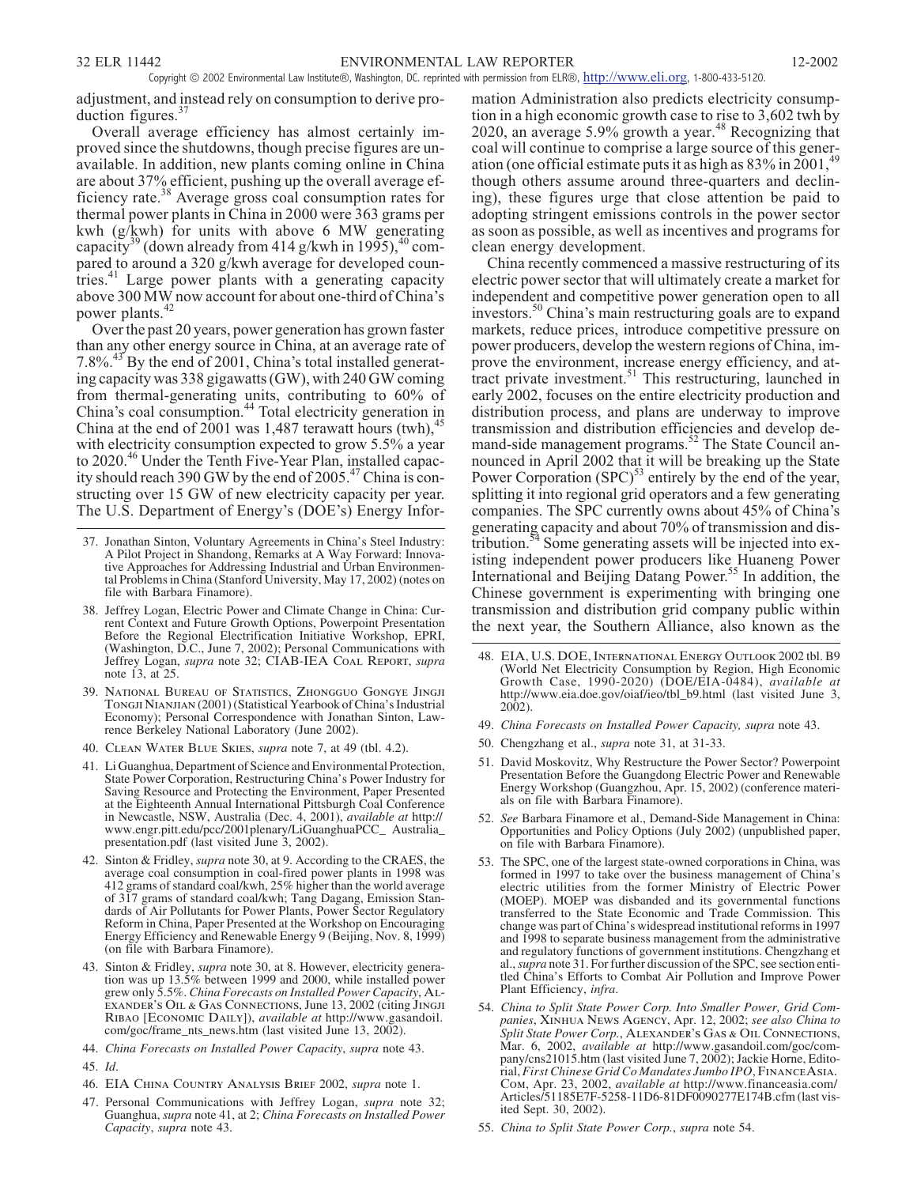adjustment, and instead rely on consumption to derive production figures. $37$ 

Overall average efficiency has almost certainly improved since the shutdowns, though precise figures are unavailable. In addition, new plants coming online in China are about 37% efficient, pushing up the overall average efficiency rate.<sup>38</sup> Average gross coal consumption rates for thermal power plants in China in 2000 were 363 grams per kwh (g/kwh) for units with above 6 MW generating capacity<sup>39</sup> (down already from 414 g/kwh in 1995),<sup>40</sup> compared to around a 320 g/kwh average for developed countries.<sup>41</sup> Large power plants with a generating capacity above 300 MW now account for about one-third of China's power plants.<sup>42</sup>

Over the past 20 years, power generation has grown faster than any other energy source in China, at an average rate of 7.8%.<sup>43</sup> By the end of 2001, China's total installed generating capacity was 338 gigawatts (GW), with 240 GW coming from thermal-generating units, contributing to 60% of China's coal consumption.<sup>44</sup> Total electricity generation in China at the end of 2001 was 1,487 terawatt hours (twh), $45$ with electricity consumption expected to grow 5.5% a year to 2020.<sup>46</sup> Under the Tenth Five-Year Plan, installed capacity should reach 390 GW by the end of  $2005.<sup>47</sup>$  China is constructing over 15 GW of new electricity capacity per year. The U.S. Department of Energy's (DOE's) Energy Infor-

- 37. Jonathan Sinton, Voluntary Agreements in China's Steel Industry: A Pilot Project in Shandong, Remarks at A Way Forward: Innovative Approaches for Addressing Industrial and Urban Environmental Problems in China (Stanford University, May 17, 2002) (notes on file with Barbara Finamore).
- 38. Jeffrey Logan, Electric Power and Climate Change in China: Current Context and Future Growth Options, Powerpoint Presentation Before the Regional Electrification Initiative Workshop, EPRI, (Washington, D.C., June 7, 2002); Personal Communications with Jeffrey Logan, *supra* note 32; *CIAB-IEA Coal Report*, *supra* note 13, at 25.
- 39. *National Bureau of Statistics, Zhongguo Gongye Jingji Tongji Nianjian* (2001) (Statistical Yearbook of China's Industrial Economy); Personal Correspondence with Jonathan Sinton, Law- rence Berkeley National Laboratory (June 2002).
- 40. *Clean Water Blue Skies*, *supra* note 7, at 49 (tbl. 4.2).
- 41. Li Guanghua, Department of Science and Environmental Protection, State Power Corporation, Restructuring China's Power Industry for Saving Resource and Protecting the Environment, Paper Presented at the Eighteenth Annual International Pittsburgh Coal Conference in Newcastle, NSW, Australia (Dec. 4, 2001), *available at* http:// www.engr.pitt.edu/pcc/2001plenary/LiGuanghuaPCC\_ Australia\_ presentation.pdf (last visited June 3, 2002).
- 42. Sinton & Fridley, *supra* note 30, at 9. According to the CRAES, the average coal consumption in coal-fired power plants in 1998 was 412 grams of standard coal/kwh, 25% higher than the world average of 317 grams of standard coal/kwh; Tang Dagang, Emission Standards of Air Pollutants for Power Plants, Power Sector Regulatory Reform in China, Paper Presented at the Workshop on Encouraging Energy Efficiency and Renewable Energy 9 (Beijing, Nov. 8, 1999) (on file with Barbara Finamore).
- 43. Sinton & Fridley, *supra* note 30, at 8. However, electricity generation was up 13.5% between 1999 and 2000, while installed power grew only 5.5%. *China Forecasts on Installed Power Capacity*, *Alexander's Oil & Gas Connections*, June 13, 2002 (citing *Jingji Ribao* [*Economic Daily*]), *available at* http://www.gasandoil. com/goc/frame\_nts\_news.htm (last visited June 13, 2002).
- 44. *China Forecasts on Installed Power Capacity*, *supra* note 43.
- 45. *Id*.
- 46. *EIA China Country Analysis Brief* 2002, *supra* note 1.
- 47. Personal Communications with Jeffrey Logan, *supra* note 32; Guanghua, *supra* note 41, at 2; *China Forecasts on Installed Power Capacity*, *supra* note 43.

mation Administration also predicts electricity consumption in a high economic growth case to rise to 3,602 twh by 2020, an average  $5.9\%$  growth a year.<sup>48</sup> Recognizing that coal will continue to comprise a large source of this generation (one official estimate puts it as high as  $83\%$  in  $2001$ ,<sup>49</sup> though others assume around three-quarters and declining), these figures urge that close attention be paid to adopting stringent emissions controls in the power sector as soon as possible, as well as incentives and programs for clean energy development.

China recently commenced a massive restructuring of its electric power sector that will ultimately create a market for independent and competitive power generation open to all investors.<sup>50</sup> China's main restructuring goals are to expand markets, reduce prices, introduce competitive pressure on power producers, develop the western regions of China, improve the environment, increase energy efficiency, and attract private investment.<sup>51</sup> This restructuring, launched in early 2002, focuses on the entire electricity production and distribution process, and plans are underway to improve transmission and distribution efficiencies and develop demand-side management programs.<sup>52</sup> The State Council announced in April 2002 that it will be breaking up the State Power Corporation  $(SPC)^{53}$  entirely by the end of the year, splitting it into regional grid operators and a few generating companies. The SPC currently owns about 45% of China's generating capacity and about 70% of transmission and distribution.<sup>54</sup> Some generating assets will be injected into existing independent power producers like Huaneng Power International and Beijing Datang Power.<sup>55</sup> In addition, the Chinese government is experimenting with bringing one transmission and distribution grid company public within the next year, the Southern Alliance, also known as the

- 48. *EIA, U.S. DOE, International Energy Outlook* 2002 tbl. B9 (World Net Electricity Consumption by Region, High Economic Growth Case, 1990-2020) (DOE/EIA-0484), *available at* http://www.eia.doe.gov/oiaf/ieo/tbl\_b9.html (last visited June 3, 2002).
- 49. *China Forecasts on Installed Power Capacity, supra* note 43.
- 50. Chengzhang et al., *supra* note 31, at 31-33.
- 51. David Moskovitz, Why Restructure the Power Sector? Powerpoint Presentation Before the Guangdong Electric Power and Renewable Energy Workshop (Guangzhou, Apr. 15, 2002) (conference materials on file with Barbara Finamore).
- 52. *See* Barbara Finamore et al., Demand-Side Management in China: Opportunities and Policy Options (July 2002) (unpublished paper, on file with Barbara Finamore).
- 53. The SPC, one of the largest state-owned corporations in China, was formed in 1997 to take over the business management of China's electric utilities from the former Ministry of Electric Power (MOEP). MOEP was disbanded and its governmental functions transferred to the State Economic and Trade Commission. This change was part of China's widespread institutional reforms in 1997 and 1998 to separate business management from the administrative and regulatory functions of government institutions. Chengzhang et al.,*supra* note 31. For further discussion of the SPC, see section entitled China's Efforts to Combat Air Pollution and Improve Power Plant Efficiency, *infra*.
- 54. *China to Split State Power Corp. Into Smaller Power, Grid Companies*, *Xinhua News Agency*, Apr. 12, 2002; *see also China to Split State Power Corp.*, *Alexander's Gas & Oil Connections*, Mar. 6, 2002, *available at* http://www.gasandoil.com/goc/company/cns21015.htm (last visited June 7, 2002); Jackie Horne, Editorial,*First Chinese Grid Co Mandates Jumbo IPO*, *FinanceAsia. Com*, Apr. 23, 2002, *available at* http://www.financeasia.com/ Articles/51185E7F-5258-11D6-81DF0090277E174B.cfm (last visited Sept. 30, 2002).
- 55. *China to Split State Power Corp.*, *supra* note 54.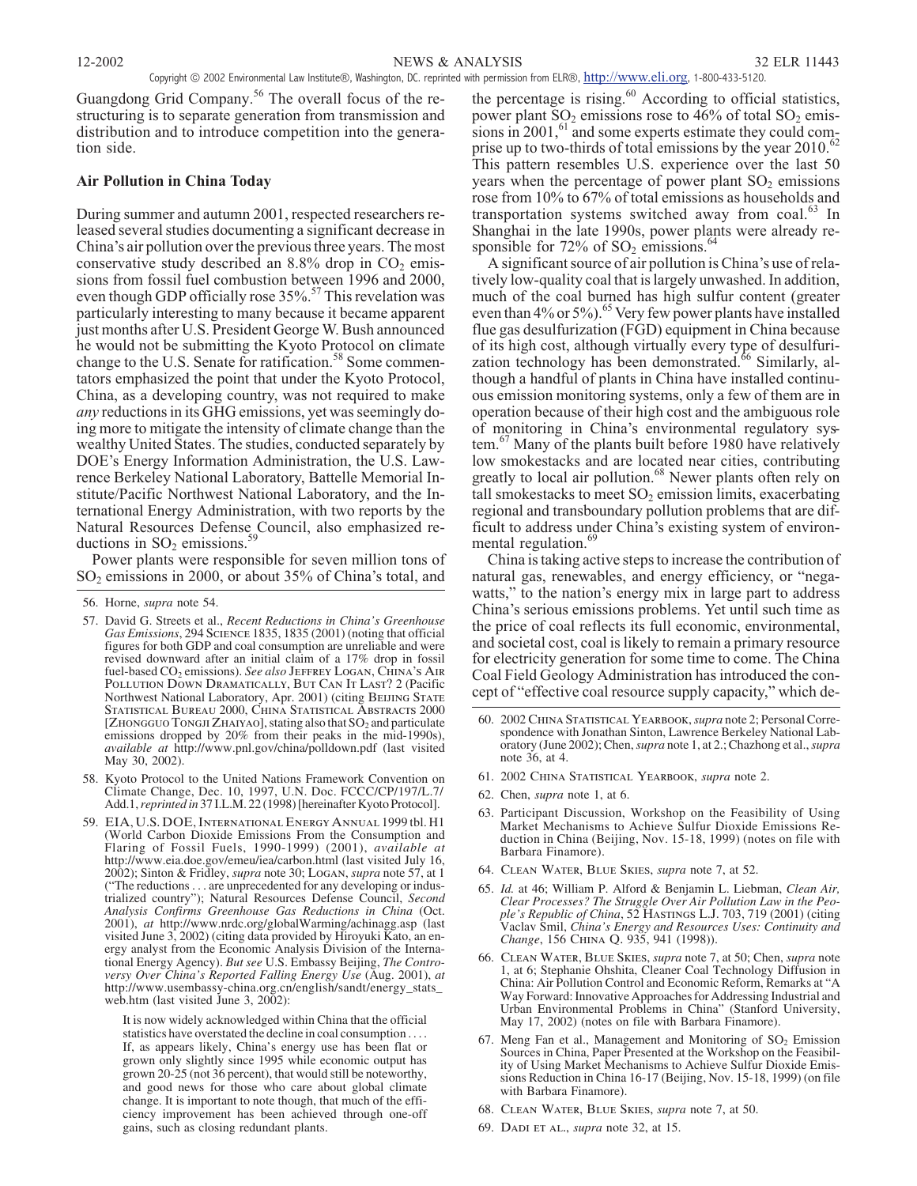Guangdong Grid Company.<sup>56</sup> The overall focus of the restructuring is to separate generation from transmission and distribution and to introduce competition into the generation side.

# **Air Pollution in China Today**

During summer and autumn 2001, respected researchers released several studies documenting a significant decrease in China's air pollution over the previous three years. The most conservative study described an  $8.8\%$  drop in  $CO<sub>2</sub>$  emissions from fossil fuel combustion between 1996 and 2000, even though GDP officially rose 35%.<sup>57</sup> This revelation was particularly interesting to many because it became apparent just months after U.S. President George W. Bush announced he would not be submitting the Kyoto Protocol on climate change to the U.S. Senate for ratification.<sup>58</sup> Some commentators emphasized the point that under the Kyoto Protocol, China, as a developing country, was not required to make *any* reductions in its GHG emissions, yet was seemingly doing more to mitigate the intensity of climate change than the wealthy United States. The studies, conducted separately by DOE's Energy Information Administration, the U.S. Lawrence Berkeley National Laboratory, Battelle Memorial Institute/Pacific Northwest National Laboratory, and the International Energy Administration, with two reports by the Natural Resources Defense Council, also emphasized reductions in  $SO_2$  emissions.<sup>59</sup>

Power plants were responsible for seven million tons of SO<sub>2</sub> emissions in 2000, or about 35% of China's total, and

- 58. Kyoto Protocol to the United Nations Framework Convention on Climate Change, Dec. 10, 1997, U.N. Doc. FCCC/CP/197/L.7/ Add.1,*reprinted in* 37 I.L.M. 22 (1998) [hereinafter Kyoto Protocol].
- 59. *EIA, U.S. DOE, International Energy Annual* 1999 tbl. H1 (World Carbon Dioxide Emissions From the Consumption and Flaring of Fossil Fuels, 1990-1999) (2001), *available at* http://www.eia.doe.gov/emeu/iea/carbon.html (last visited July 16, 2002); Sinton & Fridley, *supra* note 30; *Logan*, *supra* note 57, at 1 ("The reductions . . . are unprecedented for any developing or industrialized country"); Natural Resources Defense Council, *Second Analysis Confirms Greenhouse Gas Reductions in China* (Oct. 2001), *at* http://www.nrdc.org/globalWarming/achinagg.asp (last visited June 3, 2002) (citing data provided by Hiroyuki Kato, an energy analyst from the Economic Analysis Division of the International Energy Agency). *But see* U.S. Embassy Beijing, *The Controversy Over China's Reported Falling Energy Use* (Aug. 2001), *at* http://www.usembassy-china.org.cn/english/sandt/energy\_stats\_ web.htm (last visited June 3, 2002):

It is now widely acknowledged within China that the official statistics have overstated the decline in coal consumption.... If, as appears likely, China's energy use has been flat or grown only slightly since 1995 while economic output has grown 20-25 (not 36 percent), that would still be noteworthy, and good news for those who care about global climate change. It is important to note though, that much of the efficiency improvement has been achieved through one-off gains, such as closing redundant plants.

the percentage is rising. $60$  According to official statistics, power plant  $SO_2$  emissions rose to 46% of total  $SO_2$  emissions in  $2001$ ,  $61$  and some experts estimate they could comprise up to two-thirds of total emissions by the year 2010.<sup>62</sup> This pattern resembles U.S. experience over the last 50 years when the percentage of power plant  $SO<sub>2</sub>$  emissions rose from 10% to 67% of total emissions as households and transportation systems switched away from coal.<sup>63</sup> In Shanghai in the late 1990s, power plants were already responsible for  $72\%$  of SO<sub>2</sub> emissions.<sup>6</sup>

A significant source of air pollution is China's use of relatively low-quality coal that is largely unwashed. In addition, much of the coal burned has high sulfur content (greater even than 4% or 5%).<sup>65</sup> Very few power plants have installed flue gas desulfurization (FGD) equipment in China because of its high cost, although virtually every type of desulfurization technology has been demonstrated.<sup>66</sup> Similarly, although a handful of plants in China have installed continuous emission monitoring systems, only a few of them are in operation because of their high cost and the ambiguous role of monitoring in China's environmental regulatory system.<sup>67</sup> Many of the plants built before 1980 have relatively low smokestacks and are located near cities, contributing greatly to local air pollution.<sup>68</sup> Newer plants often rely on tall smokestacks to meet  $SO_2$  emission limits, exacerbating regional and transboundary pollution problems that are difficult to address under China's existing system of environmental regulation.<sup>69</sup>

China is taking active steps to increase the contribution of natural gas, renewables, and energy efficiency, or "negawatts," to the nation's energy mix in large part to address China's serious emissions problems. Yet until such time as the price of coal reflects its full economic, environmental, and societal cost, coal is likely to remain a primary resource for electricity generation for some time to come. The China Coal Field Geology Administration has introduced the concept of "effective coal resource supply capacity," which de-

- 61. 2002 *China Statistical Yearbook*, *supra* note 2.
- 62. Chen, *supra* note 1, at 6.
- 63. Participant Discussion, Workshop on the Feasibility of Using duction in China (Beijing, Nov. 15-18, 1999) (notes on file with Barbara Finamore).
- 64. *Clean Water, Blue Skies*, *supra* note 7, at 52.
- 65. *Id.* at 46; William P. Alford & Benjamin L. Liebman, *Clean Air, Clear Processes? The Struggle Over Air Pollution Law in the People's Republic of China*, 52 *Hastings L.J.* 703, 719 (2001) (citing Vaclav Smil, *China's Energy and Resources Uses: Continuity and Change*, 156 *China Q.* 935, 941 (1998)).
- 66. *Clean Water, Blue Skies*, *supra* note 7, at 50; Chen, *supra* note 1, at 6; Stephanie Ohshita, Cleaner Coal Technology Diffusion in China: Air Pollution Control and Economic Reform, Remarks at "A Way Forward: Innovative Approaches for Addressing Industrial and Urban Environmental Problems in China" (Stanford University, May 17, 2002) (notes on file with Barbara Finamore).
- 67. Meng Fan et al., Management and Monitoring of  $SO_2$  Emission Sources in China, Paper Presented at the Workshop on the Feasibility of Using Market Mechanisms to Achieve Sulfur Dioxide Emissions Reduction in China 16-17 (Beijing, Nov. 15-18, 1999) (on file with Barbara Finamore).
- 68. *Clean Water, Blue Skies*, *supra* note 7, at 50.
- 69. *Dadi et al.*, *supra* note 32, at 15.

<sup>56.</sup> Horne, *supra* note 54.

<sup>57.</sup> David G. Streets et al., *Recent Reductions in China's Greenhouse Gas Emissions*, 294 *Science* 1835, 1835 (2001) (noting that official figures for both GDP and coal consumption are unreliable and were revised downward after an initial claim of a 17% drop in fossil fuel-based CO<sub>2</sub> emissions). *See also* JEFFREY LOGAN, CHINA'S AIR *Pollution Down Dramatically, But Can It Last?* 2 (Pacific Northwest National Laboratory, Apr. 2001) (citing *Beijing State Statistical Bureau* 2000, *China Statistical Abstracts* 2000 [ZHONGGUO TONGJI ZHAIYAO], stating also that SO<sub>2</sub> and particulate emissions dropped by 20% from their peaks in the mid-1990s), *available at* http://www.pnl.gov/china/polldown.pdf (last visited May 30, 2002).

<sup>60. 2002</sup> CHINA STATISTICAL YEARBOOK, *supra* note 2; Personal Correspondence with Jonathan Sinton, Lawrence Berkeley National Laboratory (June 2002); Chen, *supra* note 1, at 2.; Chazhong et al., *supra* note 36, at 4.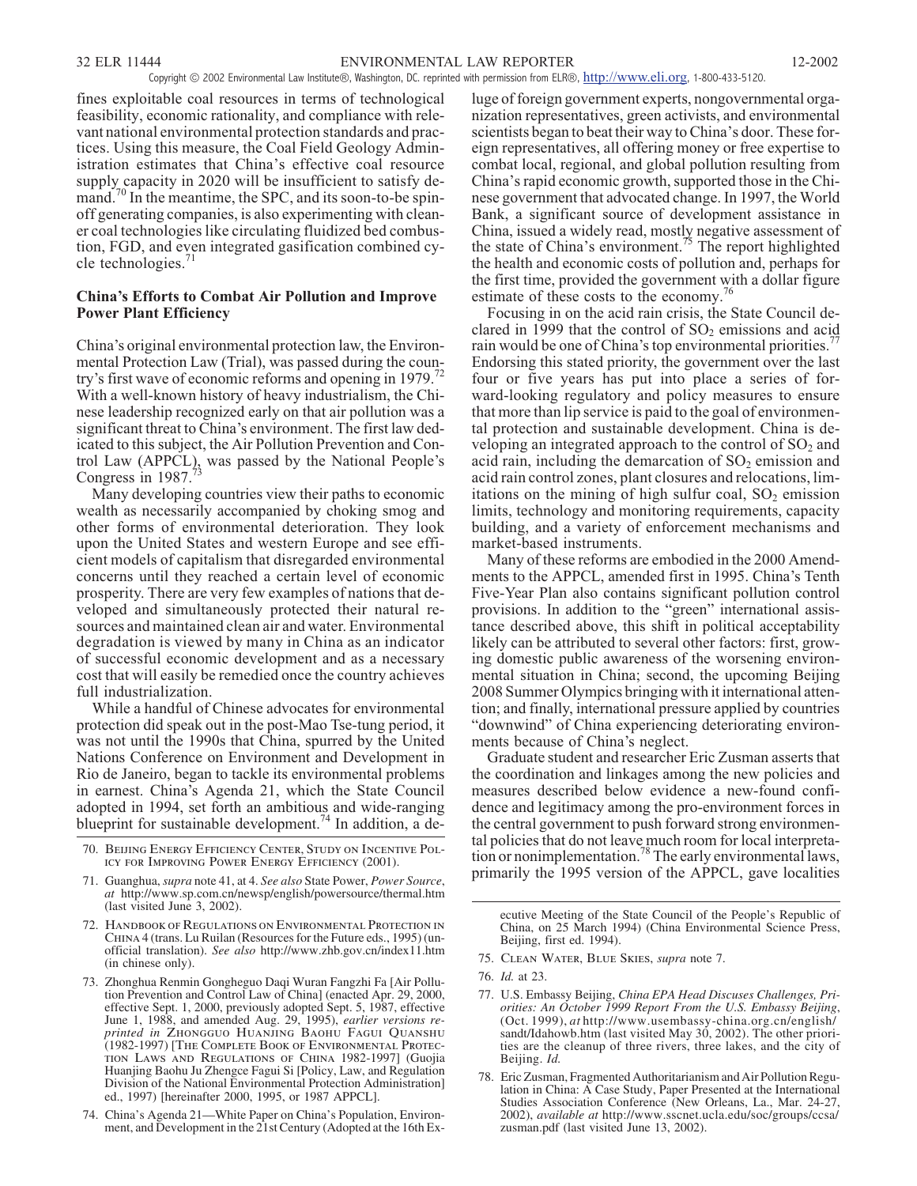fines exploitable coal resources in terms of technological feasibility, economic rationality, and compliance with relevant national environmental protection standards and practices. Using this measure, the Coal Field Geology Administration estimates that China's effective coal resource supply capacity in 2020 will be insufficient to satisfy demand.<sup>70</sup> In the meantime, the SPC, and its soon-to-be spinoff generating companies, is also experimenting with cleaner coal technologies like circulating fluidized bed combustion, FGD, and even integrated gasification combined cycle technologies.<sup>71</sup>

# **China's Efforts to Combat Air Pollution and Improve Power Plant Efficiency**

China's original environmental protection law, the Environmental Protection Law (Trial), was passed during the country's first wave of economic reforms and opening in 1979.<sup>72</sup> With a well-known history of heavy industrialism, the Chinese leadership recognized early on that air pollution was a significant threat to China's environment. The first law dedicated to this subject, the Air Pollution Prevention and Control Law (APPCL), was passed by the National People's Congress in 1987.

Many developing countries view their paths to economic wealth as necessarily accompanied by choking smog and other forms of environmental deterioration. They look upon the United States and western Europe and see efficient models of capitalism that disregarded environmental concerns until they reached a certain level of economic prosperity. There are very few examples of nations that developed and simultaneously protected their natural resources and maintained clean air and water. Environmental degradation is viewed by many in China as an indicator of successful economic development and as a necessary cost that will easily be remedied once the country achieves full industrialization.

While a handful of Chinese advocates for environmental protection did speak out in the post-Mao Tse-tung period, it was not until the 1990s that China, spurred by the United Nations Conference on Environment and Development in Rio de Janeiro, began to tackle its environmental problems in earnest. China's Agenda 21, which the State Council adopted in 1994, set forth an ambitious and wide-ranging blueprint for sustainable development.<sup>74</sup> In addition, a de-

- 70. *Beijing Energy Efficiency Center, Study on Incentive Pol- icy for Improving Power Energy Efficiency* (2001).
- 71. Guanghua, *supra* note 41, at 4. *See also* State Power, *Power Source*, *at* http://www.sp.com.cn/newsp/english/powersource/thermal.htm (last visited June 3, 2002).
- 72. *Handbook of Regulations on Environmental Protection in China* 4 (trans. Lu Ruilan (Resources for the Future eds., 1995) (unofficial translation). *See also* http://www.zhb.gov.cn/index11.htm (in chinese only).
- 73. Zhonghua Renmin Gongheguo Daqi Wuran Fangzhi Fa [Air Pollution Prevention and Control Law of China] (enacted Apr. 29, 2000, effective Sept. 1, 2000, previously adopted Sept. 5, 1987, effective June 1, 1988, and amended Aug. 29, 1995), *earlier versions re-printed in Zhongguo Huanjing Baohu Fagui Quanshu* (1982-1997) [*The Complete Book of Environmental Protection Laws and Regulations of China* 1982-1997] (Guojia Huanjing Baohu Ju Zhengce Fagui Si [Policy, Law, and Regulation Division of the National Environmental Protection Administration] ed., 1997) [hereinafter 2000, 1995, or 1987 APPCL].
- 74. China's Agenda 21—White Paper on China's Population, Environment, and Development in the 21st Century (Adopted at the 16th Ex-

luge of foreign government experts, nongovernmental organization representatives, green activists, and environmental scientists began to beat their way to China's door. These foreign representatives, all offering money or free expertise to combat local, regional, and global pollution resulting from China's rapid economic growth, supported those in the Chinese government that advocated change. In 1997, the World Bank, a significant source of development assistance in China, issued a widely read, mostly negative assessment of the state of China's environment.<sup>75</sup> The report highlighted the health and economic costs of pollution and, perhaps for the first time, provided the government with a dollar figure estimate of these costs to the economy.<sup>7</sup>

Focusing in on the acid rain crisis, the State Council declared in 1999 that the control of  $SO<sub>2</sub>$  emissions and acid rain would be one of China's top environmental priorities. Endorsing this stated priority, the government over the last four or five years has put into place a series of forward-looking regulatory and policy measures to ensure that more than lip service is paid to the goal of environmental protection and sustainable development. China is developing an integrated approach to the control of  $SO<sub>2</sub>$  and acid rain, including the demarcation of  $SO<sub>2</sub>$  emission and acid rain control zones, plant closures and relocations, limitations on the mining of high sulfur coal,  $SO<sub>2</sub>$  emission limits, technology and monitoring requirements, capacity building, and a variety of enforcement mechanisms and market-based instruments.

Many of these reforms are embodied in the 2000 Amendments to the APPCL, amended first in 1995. China's Tenth Five-Year Plan also contains significant pollution control provisions. In addition to the "green" international assistance described above, this shift in political acceptability likely can be attributed to several other factors: first, growing domestic public awareness of the worsening environmental situation in China; second, the upcoming Beijing 2008 Summer Olympics bringing with it international attention; and finally, international pressure applied by countries "downwind" of China experiencing deteriorating environments because of China's neglect.

Graduate student and researcher Eric Zusman asserts that the coordination and linkages among the new policies and measures described below evidence a new-found confidence and legitimacy among the pro-environment forces in the central government to push forward strong environmental policies that do not leave much room for local interpretation or nonimplementation.<sup>78</sup> The early environmental laws, primarily the 1995 version of the APPCL, gave localities

75. *Clean Water, Blue Skies*, *supra* note 7.

- 77. U.S. Embassy Beijing, *China EPA Head Discuses Challenges, Priorities: An October 1999 Report From the U.S. Embassy Beijing*, (Oct. 1999), *at* http://www.usembassy-china.org.cn/english/ sandt/Idahowb.htm (last visited May 30, 2002). The other priorities are the cleanup of three rivers, three lakes, and the city of Beijing. *Id.*
- 78. Eric Zusman, Fragmented Authoritarianism and Air Pollution Regulation in China: A Case Study, Paper Presented at the International Studies Association Conference (New Orleans, La., Mar. 24-27, 2002), *available at* http://www.sscnet.ucla.edu/soc/groups/ccsa/ zusman.pdf (last visited June 13, 2002).

ecutive Meeting of the State Council of the People's Republic of China, on 25 March 1994) (China Environmental Science Press, Beijing, first ed. 1994).

<sup>76.</sup> *Id.* at 23.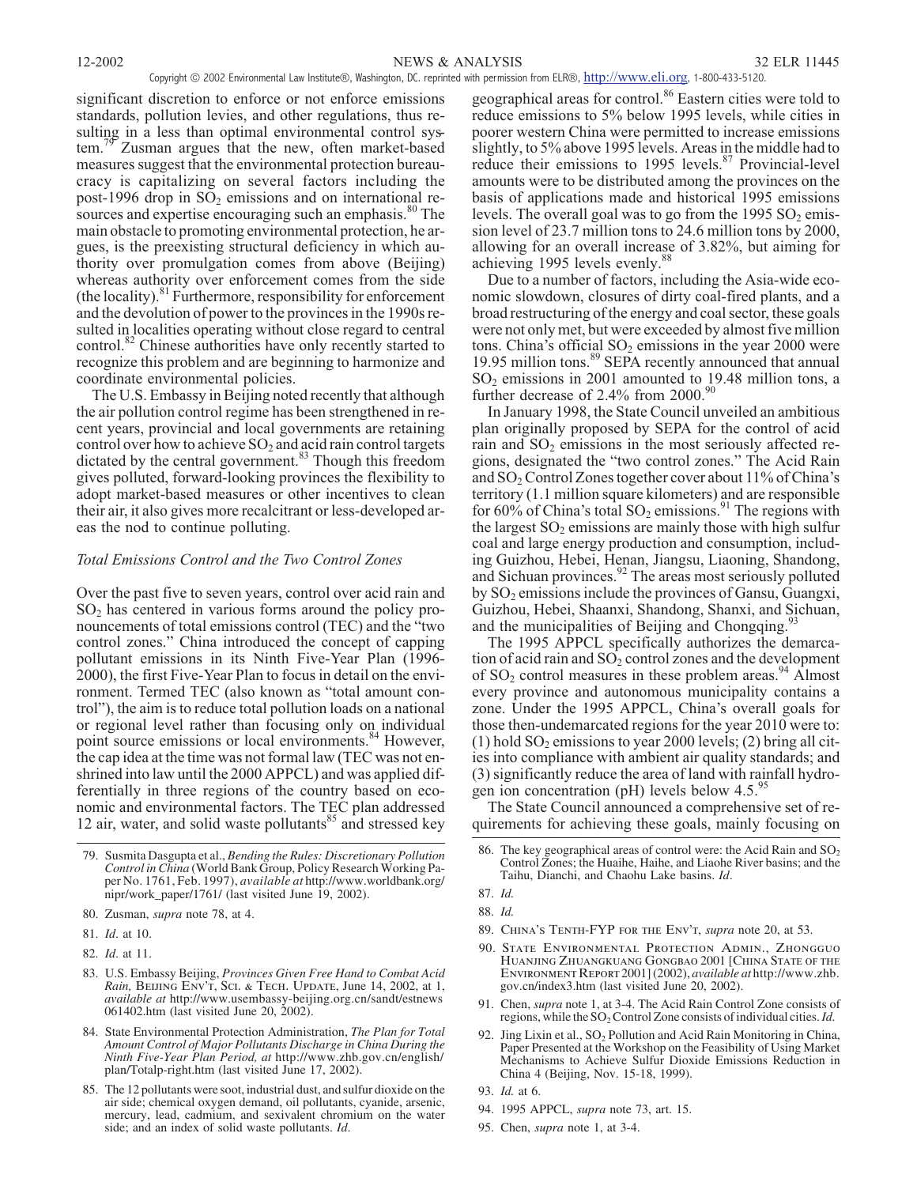significant discretion to enforce or not enforce emissions standards, pollution levies, and other regulations, thus resulting in a less than optimal environmental control system.<sup>79</sup> Zusman argues that the new, often market-based measures suggest that the environmental protection bureaucracy is capitalizing on several factors including the post-1996 drop in  $SO<sub>2</sub>$  emissions and on international resources and expertise encouraging such an emphasis.<sup>80</sup> The main obstacle to promoting environmental protection, he argues, is the preexisting structural deficiency in which authority over promulgation comes from above (Beijing) whereas authority over enforcement comes from the side  $(the locality).$ <sup>81</sup> Furthermore, responsibility for enforcement and the devolution of power to the provinces in the 1990s resulted in localities operating without close regard to central control.<sup>82</sup> Chinese authorities have only recently started to recognize this problem and are beginning to harmonize and coordinate environmental policies.

The U.S. Embassy in Beijing noted recently that although the air pollution control regime has been strengthened in recent years, provincial and local governments are retaining control over how to achieve  $SO_2$  and acid rain control targets dictated by the central government.<sup>83</sup> Though this freedom gives polluted, forward-looking provinces the flexibility to adopt market-based measures or other incentives to clean their air, it also gives more recalcitrant or less-developed areas the nod to continue polluting.

# *Total Emissions Control and the Two Control Zones*

Over the past five to seven years, control over acid rain and  $SO<sub>2</sub>$  has centered in various forms around the policy pronouncements of total emissions control (TEC) and the "two control zones." China introduced the concept of capping pollutant emissions in its Ninth Five-Year Plan (1996- 2000), the first Five-Year Plan to focus in detail on the environment. Termed TEC (also known as "total amount control"), the aim is to reduce total pollution loads on a national or regional level rather than focusing only on individual point source emissions or local environments.<sup>84</sup> However, the cap idea at the time was not formal law (TEC was not enshrined into law until the 2000 APPCL) and was applied differentially in three regions of the country based on economic and environmental factors. The TEC plan addressed 12 air, water, and solid waste pollutants $85$  and stressed key

- 84. State Environmental Protection Administration, *The Plan for Total Amount Control of Major Pollutants Discharge in China During the Ninth Five-Year Plan Period, at* http://www.zhb.gov.cn/english/ plan/Totalp-right.htm (last visited June 17, 2002).
- 85. The 12 pollutants were soot, industrial dust, and sulfur dioxide on the air side; chemical oxygen demand, oil pollutants, cyanide, arsenic, mercury, lead, cadmium, and sexivalent chromium on the water side; and an index of solid waste pollutants. *Id*.

geographical areas for control.<sup>86</sup> Eastern cities were told to reduce emissions to 5% below 1995 levels, while cities in poorer western China were permitted to increase emissions slightly, to 5% above 1995 levels. Areas in the middle had to reduce their emissions to 1995 levels.<sup>87</sup> Provincial-level amounts were to be distributed among the provinces on the basis of applications made and historical 1995 emissions levels. The overall goal was to go from the  $1995$  SO<sub>2</sub> emission level of 23.7 million tons to 24.6 million tons by 2000, allowing for an overall increase of 3.82%, but aiming for achieving 1995 levels evenly.<sup>8</sup>

Due to a number of factors, including the Asia-wide economic slowdown, closures of dirty coal-fired plants, and a broad restructuring of the energy and coal sector, these goals were not only met, but were exceeded by almost five million tons. China's official  $SO_2$  emissions in the year 2000 were 19.95 million tons.<sup>89</sup> SEPA recently announced that annual  $SO<sub>2</sub>$  emissions in 2001 amounted to 19.48 million tons, a further decrease of  $2.4\%$  from  $2000$ .<sup>90</sup>

In January 1998, the State Council unveiled an ambitious plan originally proposed by SEPA for the control of acid rain and  $SO<sub>2</sub>$  emissions in the most seriously affected regions, designated the "two control zones." The Acid Rain and SO<sub>2</sub> Control Zones together cover about 11% of China's territory (1.1 million square kilometers) and are responsible for 60% of China's total  $SO_2$  emissions.<sup>91</sup> The regions with the largest  $SO_2$  emissions are mainly those with high sulfur coal and large energy production and consumption, including Guizhou, Hebei, Henan, Jiangsu, Liaoning, Shandong, and Sichuan provinces. $^{92}$  The areas most seriously polluted by SO2 emissions include the provinces of Gansu, Guangxi, Guizhou, Hebei, Shaanxi, Shandong, Shanxi, and Sichuan, and the municipalities of Beijing and Chongqing.<sup>5</sup>

The 1995 APPCL specifically authorizes the demarcation of acid rain and  $SO_2$  control zones and the development of  $SO_2$  control measures in these problem areas.<sup>94</sup> Almost every province and autonomous municipality contains a zone. Under the 1995 APPCL, China's overall goals for those then-undemarcated regions for the year 2010 were to: (1) hold  $SO_2$  emissions to year 2000 levels; (2) bring all cities into compliance with ambient air quality standards; and (3) significantly reduce the area of land with rainfall hydrogen ion concentration (pH) levels below  $4.5$ .<sup>9</sup>

The State Council announced a comprehensive set of requirements for achieving these goals, mainly focusing on

- 89. *China's Tenth-FYP for the Env't*, *supra* note 20, at 53.
- 90. *State Environmental Protection Admin., Zhongguo Huanjing Zhuangkuang Gongbao* 2001 [*China State of the Environment Report* 2001] (2002), *available at* http://www.zhb. gov.cn/index3.htm (last visited June 20, 2002).
- 91. Chen, *supra* note 1, at 3-4. The Acid Rain Control Zone consists of regions, while the SO<sub>2</sub> Control Zone consists of individual cities. *Id.*
- 92. Jing Lixin et al.,  $SO_2$  Pollution and Acid Rain Monitoring in China, Paper Presented at the Workshop on the Feasibility of Using Market Mechanisms to Achieve Sulfur Dioxide Emissions Reduction in China 4 (Beijing, Nov. 15-18, 1999).

95. Chen, *supra* note 1, at 3-4.

<sup>79.</sup> Susmita Dasgupta et al., *Bending the Rules: Discretionary Pollution Control in China* (World Bank Group, Policy Research Working Paper No. 1761, Feb. 1997), *available at* http://www.worldbank.org/ nipr/work\_paper/1761/ (last visited June 19, 2002).

<sup>80.</sup> Zusman, *supra* note 78, at 4.

<sup>81.</sup> *Id*. at 10.

<sup>82.</sup> *Id*. at 11.

<sup>83.</sup> U.S. Embassy Beijing, *Provinces Given Free Hand to Combat Acid Rain, Beijing Env't, Sci. & Tech. Update*, June 14, 2002, at 1, *available at* http://www.usembassy-beijing.org.cn/sandt/estnews 061402.htm (last visited June 20, 2002).

<sup>86.</sup> The key geographical areas of control were: the Acid Rain and  $SO<sub>2</sub>$ Control Zones; the Huaihe, Haihe, and Liaohe River basins; and the Taihu, Dianchi, and Chaohu Lake basins. *Id*.

<sup>87.</sup> *Id.*

<sup>88.</sup> *Id.*

<sup>93.</sup> *Id.* at 6.

<sup>94. 1995</sup> APPCL, *supra* note 73, art. 15.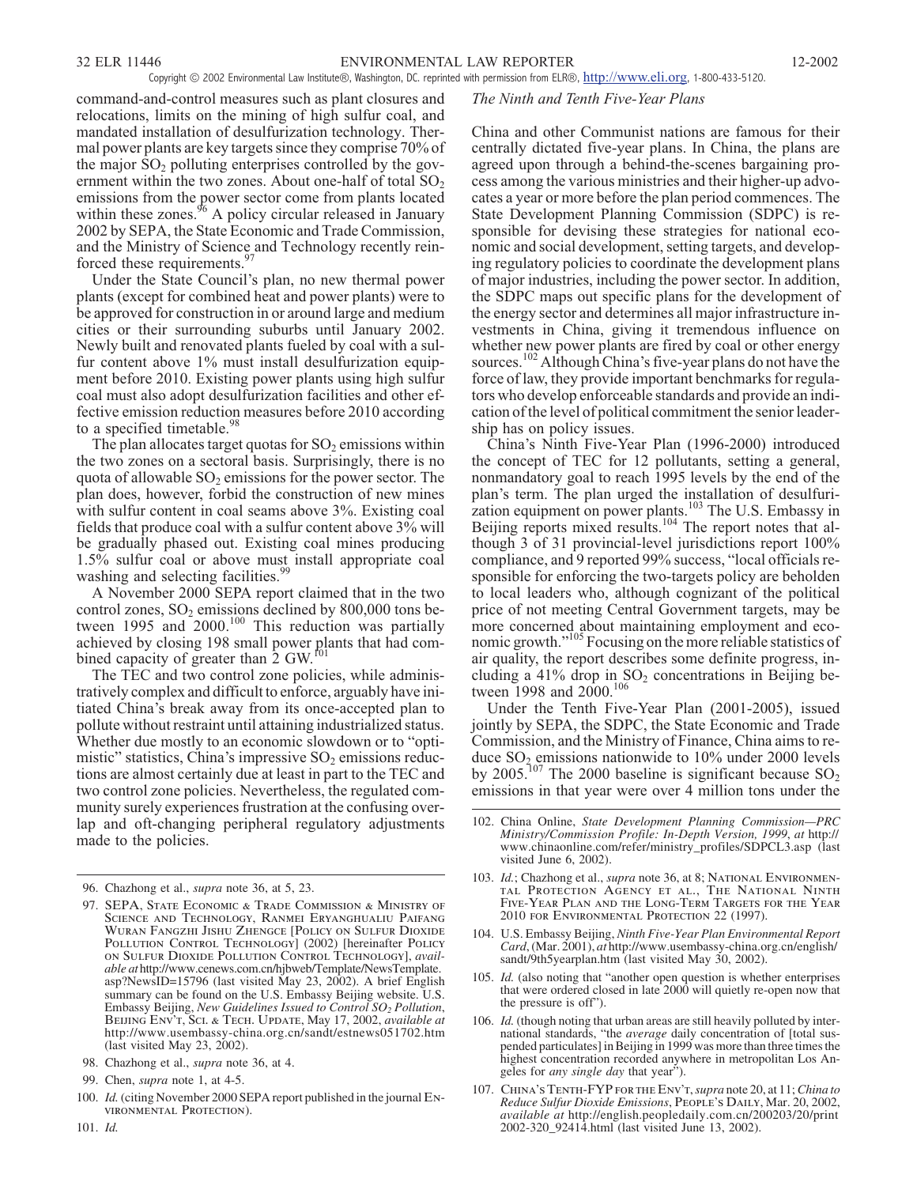command-and-control measures such as plant closures and relocations, limits on the mining of high sulfur coal, and mandated installation of desulfurization technology. Thermal power plants are key targets since they comprise 70% of the major  $SO_2$  polluting enterprises controlled by the government within the two zones. About one-half of total  $SO<sub>2</sub>$ emissions from the power sector come from plants located within these zones.<sup>96</sup> A policy circular released in January 2002 by SEPA, the State Economic and Trade Commission, and the Ministry of Science and Technology recently reinforced these requirements.<sup>97</sup>

Under the State Council's plan, no new thermal power plants (except for combined heat and power plants) were to be approved for construction in or around large and medium cities or their surrounding suburbs until January 2002. Newly built and renovated plants fueled by coal with a sulfur content above 1% must install desulfurization equipment before 2010. Existing power plants using high sulfur coal must also adopt desulfurization facilities and other effective emission reduction measures before 2010 according to a specified timetable.<sup>98</sup>

The plan allocates target quotas for  $SO_2$  emissions within the two zones on a sectoral basis. Surprisingly, there is no quota of allowable  $SO_2$  emissions for the power sector. The plan does, however, forbid the construction of new mines with sulfur content in coal seams above 3%. Existing coal fields that produce coal with a sulfur content above 3% will be gradually phased out. Existing coal mines producing 1.5% sulfur coal or above must install appropriate coal washing and selecting facilities.<sup>99</sup>

A November 2000 SEPA report claimed that in the two control zones,  $SO_2$  emissions declined by 800,000 tons between 1995 and  $2000$ .<sup>100</sup> This reduction was partially achieved by closing 198 small power plants that had combined capacity of greater than  $2$  GW.<sup>f01</sup>

The TEC and two control zone policies, while administratively complex and difficult to enforce, arguably have initiated China's break away from its once-accepted plan to pollute without restraint until attaining industrialized status. Whether due mostly to an economic slowdown or to "optimistic" statistics, China's impressive  $SO_2$  emissions reductions are almost certainly due at least in part to the TEC and two control zone policies. Nevertheless, the regulated community surely experiences frustration at the confusing overlap and oft-changing peripheral regulatory adjustments made to the policies.

#### *The Ninth and Tenth Five-Year Plans*

China and other Communist nations are famous for their centrally dictated five-year plans. In China, the plans are agreed upon through a behind-the-scenes bargaining process among the various ministries and their higher-up advocates a year or more before the plan period commences. The State Development Planning Commission (SDPC) is responsible for devising these strategies for national economic and social development, setting targets, and developing regulatory policies to coordinate the development plans of major industries, including the power sector. In addition, the SDPC maps out specific plans for the development of the energy sector and determines all major infrastructure investments in China, giving it tremendous influence on whether new power plants are fired by coal or other energy sources.<sup>102</sup> Although China's five-year plans do not have the force of law, they provide important benchmarks for regulators who develop enforceable standards and provide an indication of the level of political commitment the senior leadership has on policy issues.

China's Ninth Five-Year Plan (1996-2000) introduced the concept of TEC for 12 pollutants, setting a general, nonmandatory goal to reach 1995 levels by the end of the plan's term. The plan urged the installation of desulfurization equipment on power plants.<sup>103</sup> The U.S. Embassy in Beijing reports mixed results.<sup>104</sup> The report notes that although 3 of 31 provincial-level jurisdictions report 100% compliance, and 9 reported 99% success, "local officials responsible for enforcing the two-targets policy are beholden to local leaders who, although cognizant of the political price of not meeting Central Government targets, may be more concerned about maintaining employment and economic growth."<sup>105</sup> Focusing on the more reliable statistics of air quality, the report describes some definite progress, including a  $41\%$  drop in  $SO<sub>2</sub>$  concentrations in Beijing between 1998 and 2000.<sup>106</sup>

Under the Tenth Five-Year Plan (2001-2005), issued jointly by SEPA, the SDPC, the State Economic and Trade Commission, and the Ministry of Finance, China aims to reduce  $SO_2$  emissions nationwide to 10% under 2000 levels by 2005.<sup>107</sup> The 2000 baseline is significant because  $SO_2$ emissions in that year were over 4 million tons under the

- 103. *Id.*; Chazhong et al., *supra* note 36, at 8; *National Environmental Protection Agency et al., The National Ninth Five-Year Plan and the Long-Term Targets for the Year* 2010 *for Environmental Protection* 22 (1997).
- 104. U.S. Embassy Beijing, *Ninth Five-Year Plan Environmental Report Card*, (Mar. 2001), *at* http://www.usembassy-china.org.cn/english/ sandt/9th5yearplan.htm (last visited May 30, 2002).
- 105. *Id.* (also noting that "another open question is whether enterprises that were ordered closed in late 2000 will quietly re-open now that the pressure is off").
- 106. *Id.* (though noting that urban areas are still heavily polluted by international standards, "the *average* daily concentration of [total suspended particulates] in Beijing in 1999 was more than three times the highest concentration recorded anywhere in metropolitan Los Angeles for *any single day* that year").
- 107. *China's Tenth-FYP for the Env't*,*supra* note 20, at 11;*China to Reduce Sulfur Dioxide Emissions*, *People's Daily*, Mar. 20, 2002, *available at* http://english.peopledaily.com.cn/200203/20/print 2002-320\_92414.html (last visited June 13, 2002).

<sup>96.</sup> Chazhong et al., *supra* note 36, at 5, 23.

<sup>97.</sup> *SEPA, State Economic & Trade Commission & Ministry of Science and Technology, Ranmei Eryanghualiu Paifang Wuran Fangzhi Jishu Zhengce* [*Policy on Sulfur Dioxide Pollution Control Technology*] (2002) [hereinafter *Policy on Sulfur Dioxide Pollution Control Technology*], *available at* http://www.cenews.com.cn/hjbweb/Template/NewsTemplate. asp?NewsID=15796 (last visited May 23, 2002). A brief English summary can be found on the U.S. Embassy Beijing website. U.S. Embassy Beijing, *New Guidelines Issued to Control SO2 Pollution*, *Beijing Env't, Sci. & Tech. Update*, May 17, 2002, *available at* http://www.usembassy-china.org.cn/sandt/estnews051702.htm (last visited May 23, 2002).

<sup>98.</sup> Chazhong et al., *supra* note 36, at 4.

<sup>99.</sup> Chen, *supra* note 1, at 4-5.

<sup>100.</sup> *Id.*(citing November 2000 SEPA report published in the journal *Environmental Protection*).

<sup>102.</sup> China Online, *State Development Planning Commission—PRC Ministry/Commission Profile: In-Depth Version, 1999*, *at* http:// www.chinaonline.com/refer/ministry\_profiles/SDPCL3.asp (last visited June 6, 2002).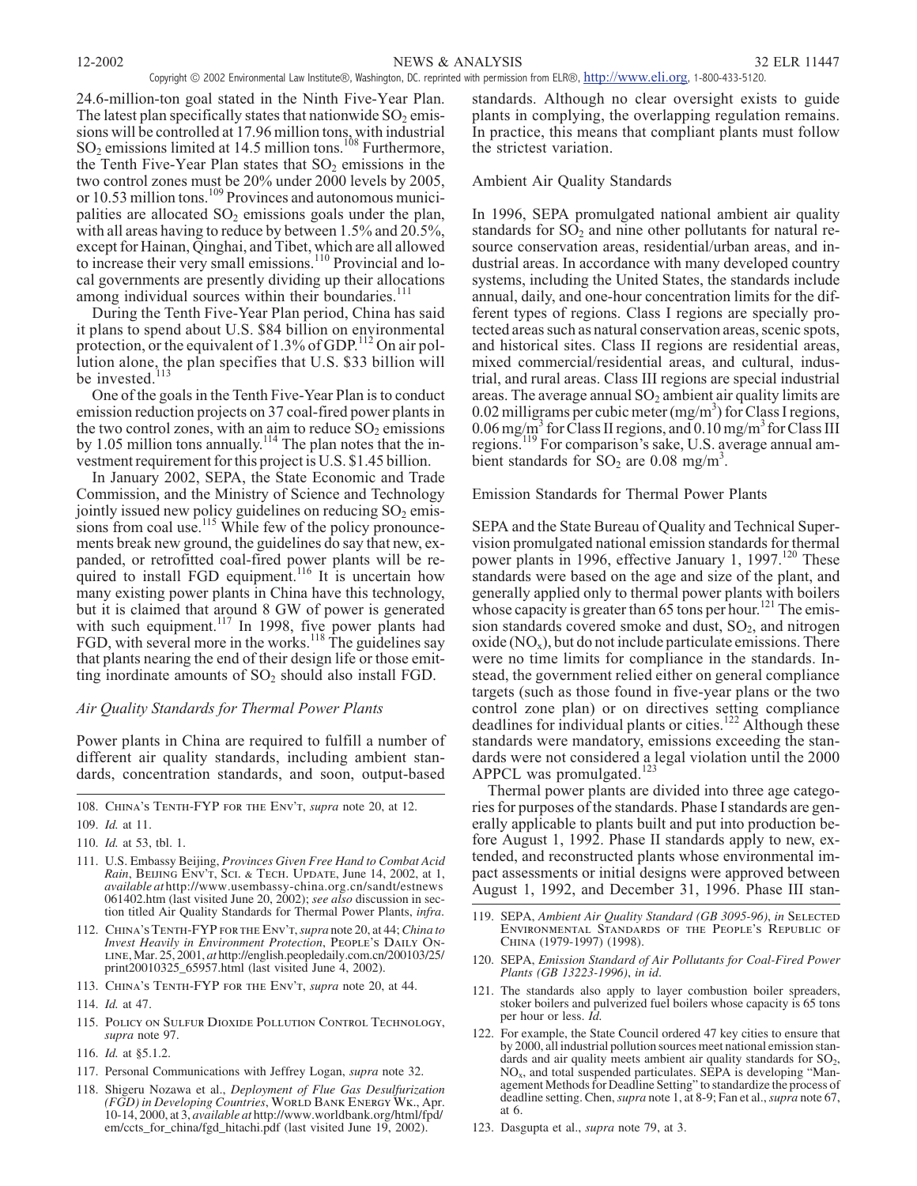24.6-million-ton goal stated in the Ninth Five-Year Plan. The latest plan specifically states that nationwide  $SO_2$  emissions will be controlled at 17.96 million tons, with industrial  $SO_2$  emissions limited at 14.5 million tons.<sup>108</sup> Furthermore, the Tenth Five-Year Plan states that  $SO<sub>2</sub>$  emissions in the two control zones must be 20% under 2000 levels by 2005, or  $10.53$  million tons.<sup>109</sup> Provinces and autonomous municipalities are allocated  $SO<sub>2</sub>$  emissions goals under the plan, with all areas having to reduce by between 1.5% and 20.5%, except for Hainan, Qinghai, and Tibet, which are all allowed to increase their very small emissions.<sup>110</sup> Provincial and local governments are presently dividing up their allocations among individual sources within their boundaries.<sup>1</sup>

During the Tenth Five-Year Plan period, China has said it plans to spend about U.S. \$84 billion on environmental protection, or the equivalent of 1.3% of GDP.<sup>112</sup> On air pollution alone, the plan specifies that U.S. \$33 billion will be invested.<sup>113</sup>

One of the goals in the Tenth Five-Year Plan is to conduct emission reduction projects on 37 coal-fired power plants in the two control zones, with an aim to reduce  $SO_2$  emissions by 1.05 million tons annually.<sup>114</sup> The plan notes that the investment requirement for this project is U.S. \$1.45 billion.

In January 2002, SEPA, the State Economic and Trade Commission, and the Ministry of Science and Technology jointly issued new policy guidelines on reducing  $SO_2$  emissions from coal use.<sup>115</sup> While few of the policy pronouncements break new ground, the guidelines do say that new, expanded, or retrofitted coal-fired power plants will be required to install FGD equipment.<sup>116</sup> It is uncertain how many existing power plants in China have this technology, but it is claimed that around 8 GW of power is generated with such equipment.<sup>117</sup> In 1998, five power plants had FGD, with several more in the works.<sup>118</sup> The guidelines say that plants nearing the end of their design life or those emitting inordinate amounts of  $SO_2$  should also install FGD.

# *Air Quality Standards for Thermal Power Plants*

Power plants in China are required to fulfill a number of different air quality standards, including ambient standards, concentration standards, and soon, output-based

- 111. U.S. Embassy Beijing, *Provinces Given Free Hand to Combat Acid Rain*, *Beijing Env't, Sci. & Tech. Update*, June 14, 2002, at 1, *available at* http://www.usembassy-china.org.cn/sandt/estnews 061402.htm (last visited June 20, 2002); *see also* discussion in section titled Air Quality Standards for Thermal Power Plants, *infra*.
- 112. *China's Tenth-FYP for the Env't*,*supra* note 20, at 44;*China to Invest Heavily in Environment Protection*, *People's Daily Online*, Mar. 25, 2001, *at* http://english.peopledaily.com.cn/200103/25/ print20010325\_65957.html (last visited June 4, 2002).
- 113. *China's Tenth-FYP for the Env't*, *supra* note 20, at 44.
- 114. *Id.* at 47.
- 115. *Policy on Sulfur Dioxide Pollution Control Technology*, *supra* note 97.
- 116. *Id.* at §5.1.2.
- 117. Personal Communications with Jeffrey Logan, *supra* note 32.
- 118. Shigeru Nozawa et al., *Deployment of Flue Gas Desulfurization (FGD) in Developing Countries*, *World Bank Energy Wk.*, Apr. 10-14, 2000, at 3, *available at* http://www.worldbank.org/html/fpd/ em/ccts\_for\_china/fgd\_hitachi.pdf (last visited June 19, 2002).

standards. Although no clear oversight exists to guide plants in complying, the overlapping regulation remains. In practice, this means that compliant plants must follow the strictest variation.

# Ambient Air Quality Standards

In 1996, SEPA promulgated national ambient air quality standards for  $SO<sub>2</sub>$  and nine other pollutants for natural resource conservation areas, residential/urban areas, and industrial areas. In accordance with many developed country systems, including the United States, the standards include annual, daily, and one-hour concentration limits for the different types of regions. Class I regions are specially protected areas such as natural conservation areas, scenic spots, and historical sites. Class II regions are residential areas, mixed commercial/residential areas, and cultural, industrial, and rural areas. Class III regions are special industrial areas. The average annual  $SO<sub>2</sub>$  ambient air quality limits are 0.02 milligrams per cubic meter  $(mg/m<sup>3</sup>)$  for Class I regions, 0.06 mg/m<sup>3</sup> for Class II regions, and 0.10 mg/m<sup>3</sup> for Class III regions.<sup>119</sup> For comparison's sake, U.S. average annual ambient standards for  $SO_2$  are 0.08 mg/m<sup>3</sup>.

Emission Standards for Thermal Power Plants

SEPA and the State Bureau of Quality and Technical Supervision promulgated national emission standards for thermal power plants in 1996, effective January 1, 1997.<sup>120</sup> These standards were based on the age and size of the plant, and generally applied only to thermal power plants with boilers whose capacity is greater than 65 tons per hour.<sup>121</sup> The emission standards covered smoke and dust,  $SO<sub>2</sub>$ , and nitrogen oxide  $(NO<sub>x</sub>)$ , but do not include particulate emissions. There were no time limits for compliance in the standards. Instead, the government relied either on general compliance targets (such as those found in five-year plans or the two control zone plan) or on directives setting compliance deadlines for individual plants or cities.<sup>122</sup> Although these standards were mandatory, emissions exceeding the standards were not considered a legal violation until the 2000 APPCL was promulgated.<sup>123</sup>

Thermal power plants are divided into three age categories for purposes of the standards. Phase I standards are generally applicable to plants built and put into production before August 1, 1992. Phase II standards apply to new, extended, and reconstructed plants whose environmental impact assessments or initial designs were approved between August 1, 1992, and December 31, 1996. Phase III stan-

- 120. SEPA, *Emission Standard of Air Pollutants for Coal-Fired Power Plants (GB 13223-1996)*, *in id*.
- 121. The standards also apply to layer combustion boiler spreaders, stoker boilers and pulverized fuel boilers whose capacity is 65 tons per hour or less. *Id.*
- 122. For example, the State Council ordered 47 key cities to ensure that by 2000, all industrial pollution sources meet national emission standards and air quality meets ambient air quality standards for  $SO_2$ ,  $NO<sub>x</sub>$ , and total suspended particulates. SEPA is developing "Management Methods for Deadline Setting" to standardize the process of deadline setting. Chen,*supra* note 1, at 8-9; Fan et al.,*supra* note 67, at 6.
- 123. Dasgupta et al., *supra* note 79, at 3.

<sup>108.</sup> *China's Tenth-FYP for the Env't*, *supra* note 20, at 12.

<sup>109.</sup> *Id.* at 11.

<sup>110.</sup> *Id.* at 53, tbl. 1.

<sup>119.</sup> SEPA, *Ambient Air Quality Standard (GB 3095-96)*, *in Selected Environmental Standards of the People's Republic of China* (1979-1997) (1998).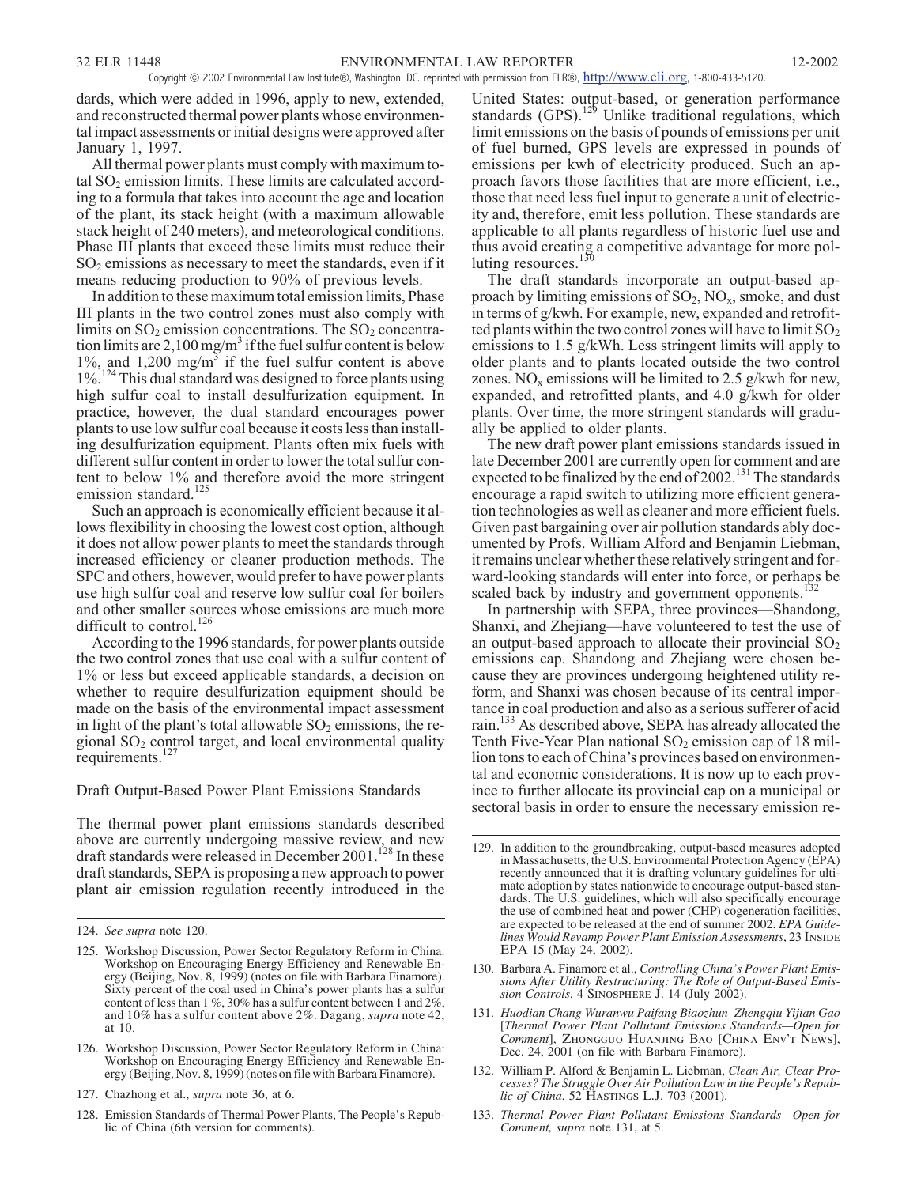dards, which were added in 1996, apply to new, extended, and reconstructed thermal power plants whose environmental impact assessments or initial designs were approved after January 1, 1997.

All thermal power plants must comply with maximum total  $SO<sub>2</sub>$  emission limits. These limits are calculated according to a formula that takes into account the age and location of the plant, its stack height (with a maximum allowable stack height of 240 meters), and meteorological conditions. Phase III plants that exceed these limits must reduce their  $SO<sub>2</sub>$  emissions as necessary to meet the standards, even if it means reducing production to 90% of previous levels.

In addition to these maximum total emission limits, Phase III plants in the two control zones must also comply with limits on  $SO_2$  emission concentrations. The  $SO_2$  concentration limits are  $2,100$  mg/m<sup>3</sup> if the fuel sulfur content is below  $1\%$ , and  $1,200 \text{ mg/m}^3$  if the fuel sulfur content is above 1%.<sup>124</sup> This dual standard was designed to force plants using high sulfur coal to install desulfurization equipment. In practice, however, the dual standard encourages power plants to use low sulfur coal because it costs less than installing desulfurization equipment. Plants often mix fuels with different sulfur content in order to lower the total sulfur content to below 1% and therefore avoid the more stringent emission standard.<sup>125</sup>

Such an approach is economically efficient because it allows flexibility in choosing the lowest cost option, although it does not allow power plants to meet the standards through increased efficiency or cleaner production methods. The SPC and others, however, would prefer to have power plants use high sulfur coal and reserve low sulfur coal for boilers and other smaller sources whose emissions are much more difficult to control.<sup>126</sup>

According to the 1996 standards, for power plants outside the two control zones that use coal with a sulfur content of 1% or less but exceed applicable standards, a decision on whether to require desulfurization equipment should be made on the basis of the environmental impact assessment in light of the plant's total allowable  $SO_2$  emissions, the regional  $SO<sub>2</sub>$  control target, and local environmental quality requirements.<sup>127</sup>

Draft Output-Based Power Plant Emissions Standards

The thermal power plant emissions standards described above are currently undergoing massive review, and new draft standards were released in December 2001.<sup>128</sup> In these draft standards, SEPA is proposing a new approach to power plant air emission regulation recently introduced in the

United States: output-based, or generation performance standards (GPS).<sup>129</sup> Unlike traditional regulations, which limit emissions on the basis of pounds of emissions per unit of fuel burned, GPS levels are expressed in pounds of emissions per kwh of electricity produced. Such an approach favors those facilities that are more efficient, i.e., those that need less fuel input to generate a unit of electricity and, therefore, emit less pollution. These standards are applicable to all plants regardless of historic fuel use and thus avoid creating a competitive advantage for more polluting resources. $<sup>1</sup>$ </sup>

The draft standards incorporate an output-based approach by limiting emissions of  $SO_2$ ,  $NO_x$ , smoke, and dust in terms of g/kwh. For example, new, expanded and retrofitted plants within the two control zones will have to limit  $SO_2$ emissions to 1.5 g/kWh. Less stringent limits will apply to older plants and to plants located outside the two control zones. NO<sub>x</sub> emissions will be limited to 2.5 g/kwh for new, expanded, and retrofitted plants, and 4.0 g/kwh for older plants. Over time, the more stringent standards will gradually be applied to older plants.

The new draft power plant emissions standards issued in late December 2001 are currently open for comment and are expected to be finalized by the end of 2002.<sup>131</sup> The standards encourage a rapid switch to utilizing more efficient generation technologies as well as cleaner and more efficient fuels. Given past bargaining over air pollution standards ably documented by Profs. William Alford and Benjamin Liebman, it remains unclear whether these relatively stringent and forward-looking standards will enter into force, or perhaps be scaled back by industry and government opponents.<sup>1</sup>

In partnership with SEPA, three provinces—Shandong, Shanxi, and Zhejiang—have volunteered to test the use of an output-based approach to allocate their provincial  $SO_2$ emissions cap. Shandong and Zhejiang were chosen because they are provinces undergoing heightened utility reform, and Shanxi was chosen because of its central importance in coal production and also as a serious sufferer of acid rain.<sup>133</sup> As described above, SEPA has already allocated the Tenth Five-Year Plan national  $SO_2$  emission cap of 18 million tons to each of China's provinces based on environmental and economic considerations. It is now up to each province to further allocate its provincial cap on a municipal or sectoral basis in order to ensure the necessary emission re-

- 131. *Huodian Chang Wuranwu Paifang Biaozhun–Zhengqiu Yijian Gao* [*Thermal Power Plant Pollutant Emissions Standards—Open for Comment*], *Zhongguo Huanjing Bao* [*China Env't News*], Dec. 24, 2001 (on file with Barbara Finamore).
- 132. William P. Alford & Benjamin L. Liebman, *Clean Air, Clear Processes? The Struggle Over Air Pollution Law in the People's Republic of China*, 52 *Hastings L.J.* 703 (2001).
- 133. *Thermal Power Plant Pollutant Emissions Standards—Open for Comment, supra* note 131, at 5.

<sup>124.</sup> *See supra* note 120.

<sup>125.</sup> Workshop Discussion, Power Sector Regulatory Reform in China: Workshop on Encouraging Energy Efficiency and Renewable Energy (Beijing, Nov. 8, 1999) (notes on file with Barbara Finamore). Sixty percent of the coal used in China's power plants has a sulfur content of less than 1 %, 30% has a sulfur content between 1 and 2%, and 10% has a sulfur content above 2%. Dagang, *supra* note 42, at 10.

<sup>126.</sup> Workshop Discussion, Power Sector Regulatory Reform in China: Workshop on Encouraging Energy Efficiency and Renewable Energy (Beijing, Nov. 8, 1999) (notes on file with Barbara Finamore).

<sup>127.</sup> Chazhong et al., *supra* note 36, at 6.

<sup>128.</sup> Emission Standards of Thermal Power Plants, The People's Republic of China (6th version for comments).

<sup>129.</sup> In addition to the groundbreaking, output-based measures adopted in Massachusetts, the U.S. Environmental Protection Agency (EPA) recently announced that it is drafting voluntary guidelines for ultimate adoption by states nationwide to encourage output-based standards. The U.S. guidelines, which will also specifically encourage the use of combined heat and power (CHP) cogeneration facilities, are expected to be released at the end of summer 2002. *EPA Guidelines Would Revamp Power Plant Emission Assessments*, 23 *Inside EPA* 15 (May 24, 2002).

<sup>130.</sup> Barbara A. Finamore et al., *Controlling China's Power Plant Emissions After Utility Restructuring: The Role of Output-Based Emission Controls*, 4 *Sinosphere J.* 14 (July 2002).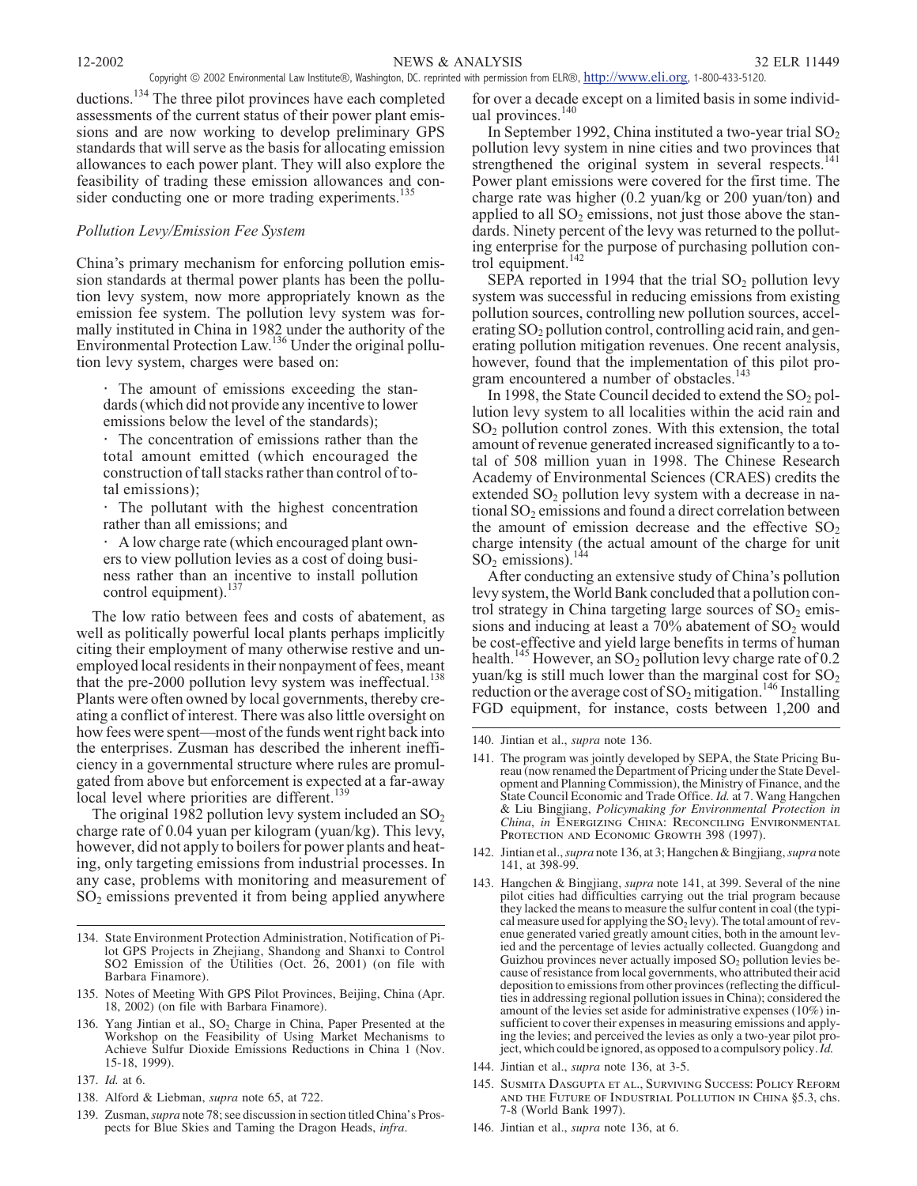ductions.<sup>134</sup> The three pilot provinces have each completed assessments of the current status of their power plant emissions and are now working to develop preliminary GPS standards that will serve as the basis for allocating emission allowances to each power plant. They will also explore the feasibility of trading these emission allowances and consider conducting one or more trading experiments.<sup>1</sup>

## *Pollution Levy/Emission Fee System*

China's primary mechanism for enforcing pollution emission standards at thermal power plants has been the pollution levy system, now more appropriately known as the emission fee system. The pollution levy system was formally instituted in China in 1982 under the authority of the Environmental Protection Law.<sup>136</sup> Under the original pollution levy system, charges were based on:

The amount of emissions exceeding the standards (which did not provide any incentive to lower emissions below the level of the standards);

The concentration of emissions rather than the total amount emitted (which encouraged the construction of tall stacks rather than control of total emissions);

The pollutant with the highest concentration rather than all emissions; and

A low charge rate (which encouraged plant owners to view pollution levies as a cost of doing business rather than an incentive to install pollution control equipment).<sup>137</sup>

The low ratio between fees and costs of abatement, as well as politically powerful local plants perhaps implicitly citing their employment of many otherwise restive and unemployed local residents in their nonpayment of fees, meant that the pre-2000 pollution levy system was ineffectual. $^{138}$ Plants were often owned by local governments, thereby creating a conflict of interest. There was also little oversight on how fees were spent—most of the funds went right back into the enterprises. Zusman has described the inherent inefficiency in a governmental structure where rules are promulgated from above but enforcement is expected at a far-away local level where priorities are different.<sup>139</sup>

The original 1982 pollution levy system included an  $SO_2$ charge rate of 0.04 yuan per kilogram (yuan/kg). This levy, however, did not apply to boilers for power plants and heating, only targeting emissions from industrial processes. In any case, problems with monitoring and measurement of  $SO<sub>2</sub>$  emissions prevented it from being applied anywhere

- 134. State Environment Protection Administration, Notification of Pilot GPS Projects in Zhejiang, Shandong and Shanxi to Control SO2 Emission of the Utilities (Oct. 26, 2001) (on file with Barbara Finamore).
- 135. Notes of Meeting With GPS Pilot Provinces, Beijing, China (Apr. 18, 2002) (on file with Barbara Finamore).
- 136. Yang Jintian et al., SO<sub>2</sub> Charge in China, Paper Presented at the Workshop on the Feasibility of Using Market Mechanisms to Achieve Sulfur Dioxide Emissions Reductions in China 1 (Nov. 15-18, 1999).
- 137. *Id.* at 6.
- 138. Alford & Liebman, *supra* note 65, at 722.
- 139. Zusman,*supra* note 78; see discussion in section titled China's Prospects for Blue Skies and Taming the Dragon Heads, *infra*.

for over a decade except on a limited basis in some individual provinces.<sup>140</sup>

In September 1992, China instituted a two-year trial  $SO_2$ pollution levy system in nine cities and two provinces that strengthened the original system in several respects.<sup>141</sup> Power plant emissions were covered for the first time. The charge rate was higher (0.2 yuan/kg or 200 yuan/ton) and applied to all  $SO<sub>2</sub>$  emissions, not just those above the standards. Ninety percent of the levy was returned to the polluting enterprise for the purpose of purchasing pollution control equipment.<sup>142</sup>

SEPA reported in 1994 that the trial  $SO<sub>2</sub>$  pollution levy system was successful in reducing emissions from existing pollution sources, controlling new pollution sources, accelerating  $SO_2$  pollution control, controlling acid rain, and generating pollution mitigation revenues. One recent analysis, however, found that the implementation of this pilot program encountered a number of obstacles.<sup>143</sup>

In 1998, the State Council decided to extend the  $SO_2$  pollution levy system to all localities within the acid rain and  $SO<sub>2</sub>$  pollution control zones. With this extension, the total amount of revenue generated increased significantly to a total of 508 million yuan in 1998. The Chinese Research Academy of Environmental Sciences (CRAES) credits the extended  $SO<sub>2</sub>$  pollution levy system with a decrease in national  $SO_2$  emissions and found a direct correlation between the amount of emission decrease and the effective  $SO_2$ charge intensity (the actual amount of the charge for unit  $SO<sub>2</sub>$  emissions).<sup>144</sup>

After conducting an extensive study of China's pollution levy system, the World Bank concluded that a pollution control strategy in China targeting large sources of  $SO<sub>2</sub>$  emissions and inducing at least a  $70\%$  abatement of  $SO<sub>2</sub>$  would be cost-effective and yield large benefits in terms of human health.<sup>145</sup> However, an SO<sub>2</sub> pollution levy charge rate of 0.2 yuan/kg is still much lower than the marginal cost for  $SO_2$ reduction or the average cost of  $SO_2$  mitigation.<sup>146</sup> Installing FGD equipment, for instance, costs between 1,200 and

- 141. The program was jointly developed by SEPA, the State Pricing Bu- reau (now renamed the Department of Pricing under the State Development and Planning Commission), the Ministry of Finance, and the State Council Economic and Trade Office. *Id.* at 7. Wang Hangchen & Liu Bingjiang, *Policymaking for Environmental Protection in China*, *in Energizing China: Reconciling Environmental Protection and Economic Growth* 398 (1997).
- 142. Jintian et al.,*supra* note 136, at 3; Hangchen & Bingjiang,*supra* note 141, at 398-99.
- 143. Hangchen & Bingjiang, *supra* note 141, at 399. Several of the nine pilot cities had difficulties carrying out the trial program because they lacked the means to measure the sulfur content in coal (the typical measure used for applying the  $SO_2$  levy). The total amount of revenue generated varied greatly amount cities, both in the amount levied and the percentage of levies actually collected. Guangdong and Guizhou provinces never actually imposed  $SO<sub>2</sub>$  pollution levies because of resistance from local governments, who attributed their acid deposition to emissions from other provinces (reflecting the difficulties in addressing regional pollution issues in China); considered the amount of the levies set aside for administrative expenses (10%) insufficient to cover their expenses in measuring emissions and applying the levies; and perceived the levies as only a two-year pilot project, which could be ignored, as opposed to a compulsory policy.*Id.*
- 144. Jintian et al., *supra* note 136, at 3-5.
- 145. *Susmita Dasgupta et al., Surviving Success: Policy Reform and the Future of Industrial Pollution in China* §5.3, chs. 7-8 (World Bank 1997).
- 146. Jintian et al., *supra* note 136, at 6.

<sup>140.</sup> Jintian et al., *supra* note 136.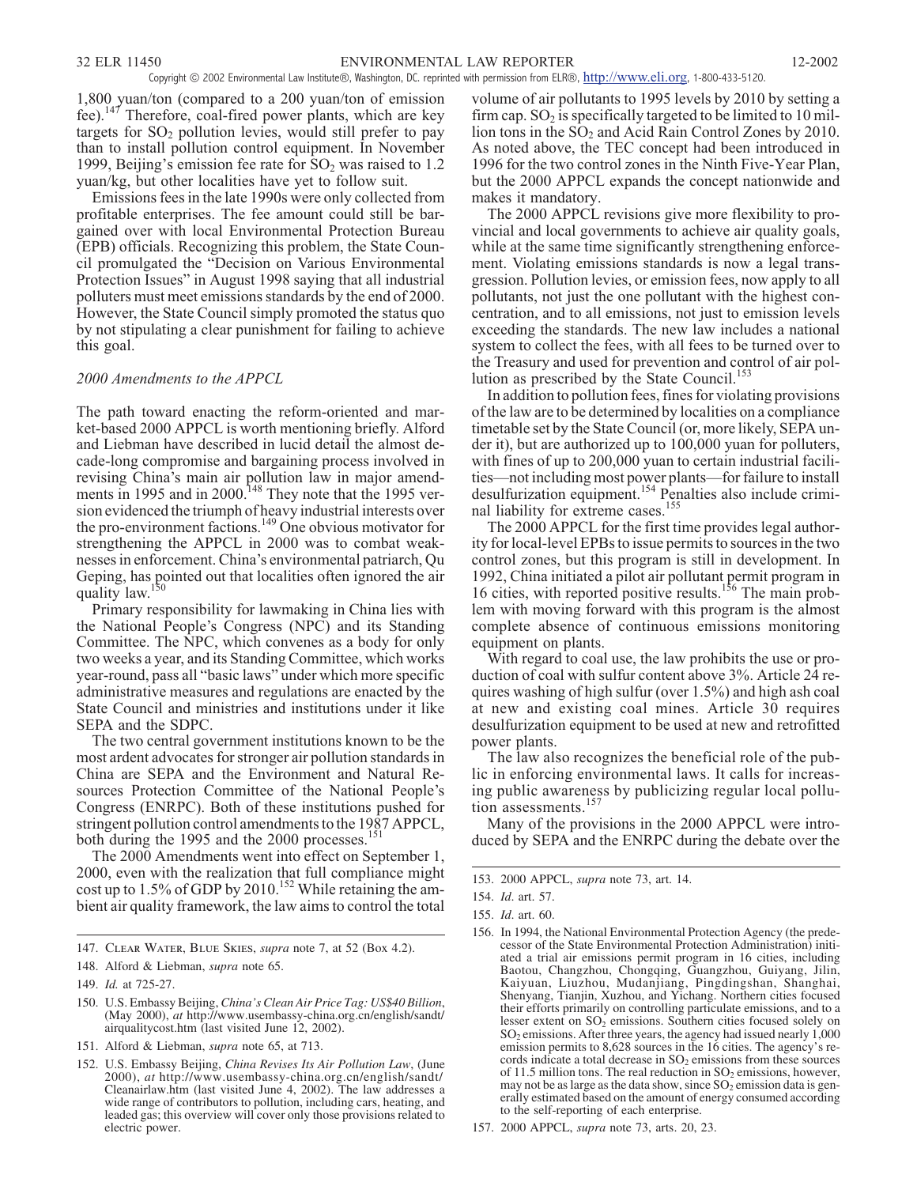1,800 yuan/ton (compared to a 200 yuan/ton of emission fee).<sup>147</sup> Therefore, coal-fired power plants, which are key targets for  $SO<sub>2</sub>$  pollution levies, would still prefer to pay than to install pollution control equipment. In November 1999, Beijing's emission fee rate for  $SO_2$  was raised to 1.2 yuan/kg, but other localities have yet to follow suit.

Emissions fees in the late 1990s were only collected from profitable enterprises. The fee amount could still be bargained over with local Environmental Protection Bureau (EPB) officials. Recognizing this problem, the State Council promulgated the "Decision on Various Environmental Protection Issues" in August 1998 saying that all industrial polluters must meet emissions standards by the end of 2000. However, the State Council simply promoted the status quo by not stipulating a clear punishment for failing to achieve this goal.

#### *2000 Amendments to the APPCL*

The path toward enacting the reform-oriented and market-based 2000 APPCL is worth mentioning briefly. Alford and Liebman have described in lucid detail the almost decade-long compromise and bargaining process involved in revising China's main air pollution law in major amendments in 1995 and in 2000.<sup>148</sup> They note that the 1995 version evidenced the triumph of heavy industrial interests over the pro-environment factions.<sup>149</sup> One obvious motivator for strengthening the APPCL in 2000 was to combat weaknesses in enforcement. China's environmental patriarch, Qu Geping, has pointed out that localities often ignored the air quality law  $^{150}$ quality law.

Primary responsibility for lawmaking in China lies with the National People's Congress (NPC) and its Standing Committee. The NPC, which convenes as a body for only two weeks a year, and its Standing Committee, which works year-round, pass all "basic laws" under which more specific administrative measures and regulations are enacted by the State Council and ministries and institutions under it like SEPA and the SDPC.

The two central government institutions known to be the most ardent advocates for stronger air pollution standards in China are SEPA and the Environment and Natural Resources Protection Committee of the National People's Congress (ENRPC). Both of these institutions pushed for stringent pollution control amendments to the 1987 APPCL, both during the 1995 and the 2000 processes.<sup>15</sup>

The 2000 Amendments went into effect on September 1, 2000, even with the realization that full compliance might cost up to 1.5% of GDP by 2010.<sup>152</sup> While retaining the ambient air quality framework, the law aims to control the total volume of air pollutants to 1995 levels by 2010 by setting a firm cap.  $SO_2$  is specifically targeted to be limited to 10 million tons in the  $SO<sub>2</sub>$  and Acid Rain Control Zones by 2010. As noted above, the TEC concept had been introduced in 1996 for the two control zones in the Ninth Five-Year Plan, but the 2000 APPCL expands the concept nationwide and makes it mandatory.

The 2000 APPCL revisions give more flexibility to provincial and local governments to achieve air quality goals, while at the same time significantly strengthening enforcement. Violating emissions standards is now a legal transgression. Pollution levies, or emission fees, now apply to all pollutants, not just the one pollutant with the highest concentration, and to all emissions, not just to emission levels exceeding the standards. The new law includes a national system to collect the fees, with all fees to be turned over to the Treasury and used for prevention and control of air pollution as prescribed by the State Council.<sup>153</sup>

In addition to pollution fees, fines for violating provisions of the law are to be determined by localities on a compliance timetable set by the State Council (or, more likely, SEPA under it), but are authorized up to 100,000 yuan for polluters, with fines of up to 200,000 yuan to certain industrial facilities—not including most power plants—for failure to install desulfurization equipment.<sup>154</sup> Penalties also include criminal liability for extreme cases.<sup>155</sup>

The 2000 APPCL for the first time provides legal authority for local-level EPBs to issue permits to sources in the two control zones, but this program is still in development. In 1992, China initiated a pilot air pollutant permit program in 16 cities, with reported positive results.<sup>156</sup> The main problem with moving forward with this program is the almost complete absence of continuous emissions monitoring equipment on plants.

With regard to coal use, the law prohibits the use or production of coal with sulfur content above 3%. Article 24 requires washing of high sulfur (over 1.5%) and high ash coal at new and existing coal mines. Article 30 requires desulfurization equipment to be used at new and retrofitted power plants.

The law also recognizes the beneficial role of the public in enforcing environmental laws. It calls for increasing public awareness by publicizing regular local pollution assessments.<sup>1</sup>

Many of the provisions in the 2000 APPCL were introduced by SEPA and the ENRPC during the debate over the

<sup>147.</sup> *Clear Water, Blue Skies*, *supra* note 7, at 52 (Box 4.2).

<sup>148.</sup> Alford & Liebman, *supra* note 65.

<sup>149.</sup> *Id.* at 725-27.

<sup>150.</sup> U.S. Embassy Beijing, *China's Clean Air Price Tag: US\$40 Billion*, (May 2000), *at* http://www.usembassy-china.org.cn/english/sandt/ airqualitycost.htm (last visited June 12, 2002).

<sup>151.</sup> Alford & Liebman, *supra* note 65, at 713.

<sup>152.</sup> U.S. Embassy Beijing, *China Revises Its Air Pollution Law*, (June 2000), *at* http://www.usembassy-china.org.cn/english/sandt/ Cleanairlaw.htm (last visited June 4, 2002). The law addresses a wide range of contributors to pollution, including cars, heating, and leaded gas; this overview will cover only those provisions related to electric power.

<sup>153. 2000</sup> APPCL, *supra* note 73, art. 14.

<sup>154.</sup> *Id*. art. 57.

<sup>155.</sup> *Id*. art. 60.

<sup>156.</sup> In 1994, the National Environmental Protection Agency (the predecessor of the State Environmental Protection Administration) initiated a trial air emissions permit program in 16 cities, including Baotou, Changzhou, Chongqing, Guangzhou, Guiyang, Jilin, Kaiyuan, Liuzhou, Mudanjiang, Pingdingshan, Shanghai, Shenyang, Tianjin, Xuzhou, and Yichang. Northern cities focused their efforts primarily on controlling particulate emissions, and to a lesser extent on SO<sub>2</sub> emissions. Southern cities focused solely on  $SO<sub>2</sub>$  emissions. After three years, the agency had issued nearly  $1,000$ emission permits to 8,628 sources in the 16 cities. The agency's records indicate a total decrease in  $SO<sub>2</sub>$  emissions from these sources of 11.5 million tons. The real reduction in  $SO_2$  emissions, however, may not be as large as the data show, since  $SO_2$  emission data is generally estimated based on the amount of energy consumed according to the self-reporting of each enterprise.

<sup>157. 2000</sup> APPCL, *supra* note 73, arts. 20, 23.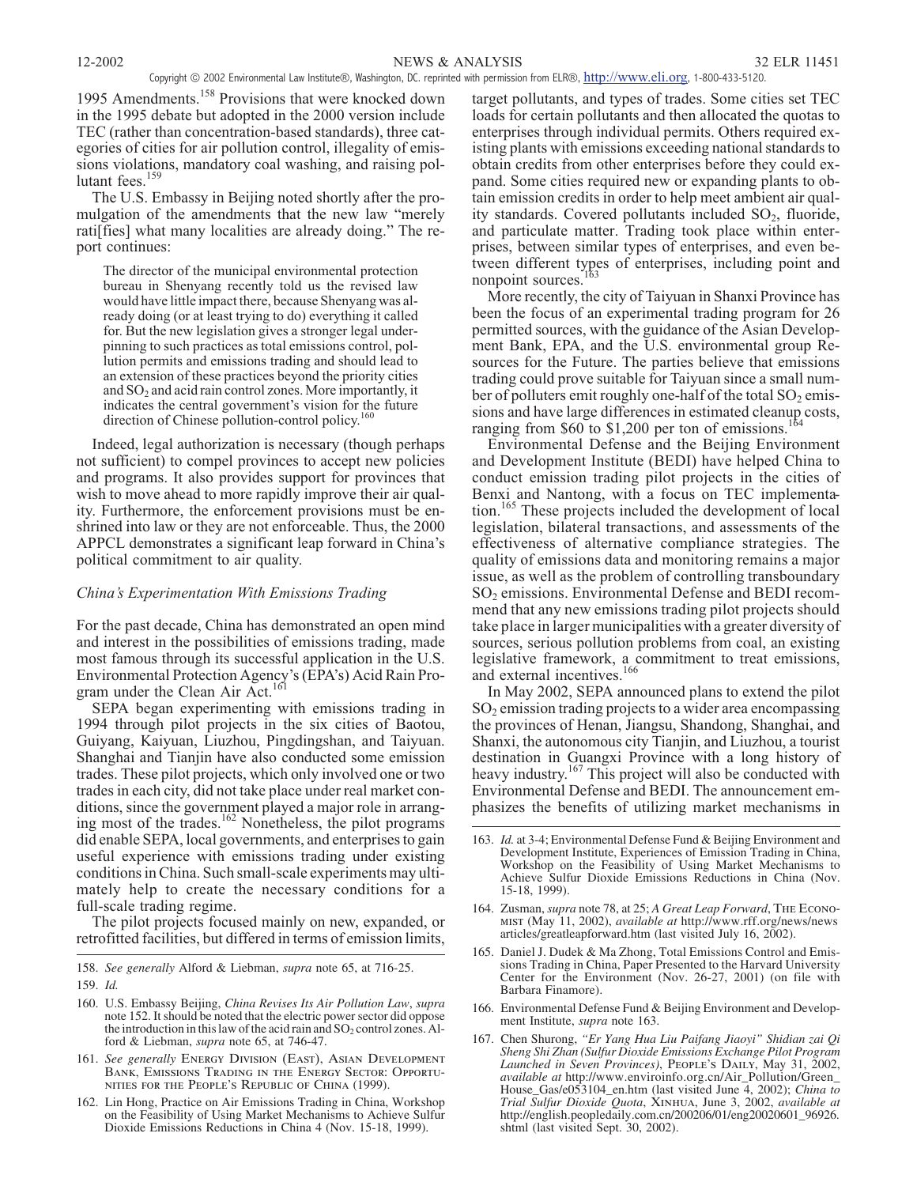1995 Amendments.<sup>158</sup> Provisions that were knocked down in the 1995 debate but adopted in the 2000 version include TEC (rather than concentration-based standards), three categories of cities for air pollution control, illegality of emissions violations, mandatory coal washing, and raising pollutant fees.<sup>159</sup>

The U.S. Embassy in Beijing noted shortly after the promulgation of the amendments that the new law "merely rati[fies] what many localities are already doing." The report continues:

The director of the municipal environmental protection bureau in Shenyang recently told us the revised law would have little impact there, because Shenyang was already doing (or at least trying to do) everything it called for. But the new legislation gives a stronger legal underpinning to such practices as total emissions control, pollution permits and emissions trading and should lead to an extension of these practices beyond the priority cities and  $SO<sub>2</sub>$  and acid rain control zones. More importantly, it indicates the central government's vision for the future direction of Chinese pollution-control policy.<sup>160</sup>

Indeed, legal authorization is necessary (though perhaps not sufficient) to compel provinces to accept new policies and programs. It also provides support for provinces that wish to move ahead to more rapidly improve their air quality. Furthermore, the enforcement provisions must be enshrined into law or they are not enforceable. Thus, the 2000 APPCL demonstrates a significant leap forward in China's political commitment to air quality.

#### *China's Experimentation With Emissions Trading*

For the past decade, China has demonstrated an open mind and interest in the possibilities of emissions trading, made most famous through its successful application in the U.S. Environmental Protection Agency's (EPA's) Acid Rain Program under the Clean Air Act.<sup>161</sup>

SEPA began experimenting with emissions trading in 1994 through pilot projects in the six cities of Baotou, Guiyang, Kaiyuan, Liuzhou, Pingdingshan, and Taiyuan. Shanghai and Tianjin have also conducted some emission trades. These pilot projects, which only involved one or two trades in each city, did not take place under real market conditions, since the government played a major role in arranging most of the trades.<sup>162</sup> Nonetheless, the pilot programs did enable SEPA, local governments, and enterprises to gain useful experience with emissions trading under existing conditions in China. Such small-scale experiments may ultimately help to create the necessary conditions for a full-scale trading regime.

The pilot projects focused mainly on new, expanded, or retrofitted facilities, but differed in terms of emission limits,

158. *See generally* Alford & Liebman, *supra* note 65, at 716-25.

- 160. U.S. Embassy Beijing, *China Revises Its Air Pollution Law*, *supra* note 152. It should be noted that the electric power sector did oppose the introduction in this law of the acid rain and  $SO_2$  control zones. Alford & Liebman, *supra* note 65, at 746-47.
- 161. *See generally Energy Division (East), Asian Development Bank, Emissions Trading in the Energy Sector: Opportunities for the People's Republic of China* (1999).
- 162. Lin Hong, Practice on Air Emissions Trading in China, Workshop on the Feasibility of Using Market Mechanisms to Achieve Sulfur Dioxide Emissions Reductions in China 4 (Nov. 15-18, 1999).

target pollutants, and types of trades. Some cities set TEC loads for certain pollutants and then allocated the quotas to enterprises through individual permits. Others required existing plants with emissions exceeding national standards to obtain credits from other enterprises before they could expand. Some cities required new or expanding plants to obtain emission credits in order to help meet ambient air quality standards. Covered pollutants included  $SO<sub>2</sub>$ , fluoride, and particulate matter. Trading took place within enterprises, between similar types of enterprises, and even between different types of enterprises, including point and nonpoint sources.<sup>1</sup>

More recently, the city of Taiyuan in Shanxi Province has been the focus of an experimental trading program for 26 permitted sources, with the guidance of the Asian Development Bank, EPA, and the U.S. environmental group Resources for the Future. The parties believe that emissions trading could prove suitable for Taiyuan since a small number of polluters emit roughly one-half of the total  $SO_2$  emissions and have large differences in estimated cleanup costs, ranging from \$60 to \$1,200 per ton of emissions.<sup>17</sup>

Environmental Defense and the Beijing Environment and Development Institute (BEDI) have helped China to conduct emission trading pilot projects in the cities of Benxi and Nantong, with a focus on TEC implementation.<sup>165</sup> These projects included the development of local legislation, bilateral transactions, and assessments of the effectiveness of alternative compliance strategies. The quality of emissions data and monitoring remains a major issue, as well as the problem of controlling transboundary SO2 emissions. Environmental Defense and BEDI recommend that any new emissions trading pilot projects should take place in larger municipalities with a greater diversity of sources, serious pollution problems from coal, an existing legislative framework, a commitment to treat emissions, and external incentives.<sup>166</sup>

In May 2002, SEPA announced plans to extend the pilot SO2 emission trading projects to a wider area encompassing the provinces of Henan, Jiangsu, Shandong, Shanghai, and Shanxi, the autonomous city Tianjin, and Liuzhou, a tourist destination in Guangxi Province with a long history of heavy industry.<sup>167</sup> This project will also be conducted with Environmental Defense and BEDI. The announcement emphasizes the benefits of utilizing market mechanisms in

- 164. Zusman, *supra* note 78, at 25; *A Great Leap Forward*, *The Economist* (May 11, 2002), *available at* http://www.rff.org/news/news articles/greatleapforward.htm (last visited July 16, 2002).
- 165. Daniel J. Dudek & Ma Zhong, Total Emissions Control and Emissions Trading in China, Paper Presented to the Harvard University Center for the Environment (Nov. 26-27, 2001) (on file with Barbara Finamore).
- 166. Environmental Defense Fund & Beijing Environment and Development Institute, *supra* note 163.
- 167. Chen Shurong, *"Er Yang Hua Liu Paifang Jiaoyi" Shidian zai Qi Sheng Shi Zhan (Sulfur Dioxide Emissions Exchange Pilot Program Launched in Seven Provinces)*, *People's Daily*, May 31, 2002, *available at* http://www.enviroinfo.org.cn/Air\_Pollution/Green\_ House\_Gas/e053104\_en.htm (last visited June 4, 2002); *China to Trial Sulfur Dioxide Quota*, *Xinhua*, June 3, 2002, *available at* http://english.peopledaily.com.cn/200206/01/eng20020601\_96926. shtml (last visited Sept. 30, 2002).

<sup>159.</sup> *Id.*

<sup>163.</sup> *Id.* at 3-4; Environmental Defense Fund & Beijing Environment and Development Institute, Experiences of Emission Trading in China, Workshop on the Feasibility of Using Market Mechanisms to Achieve Sulfur Dioxide Emissions Reductions in China (Nov. 15-18, 1999).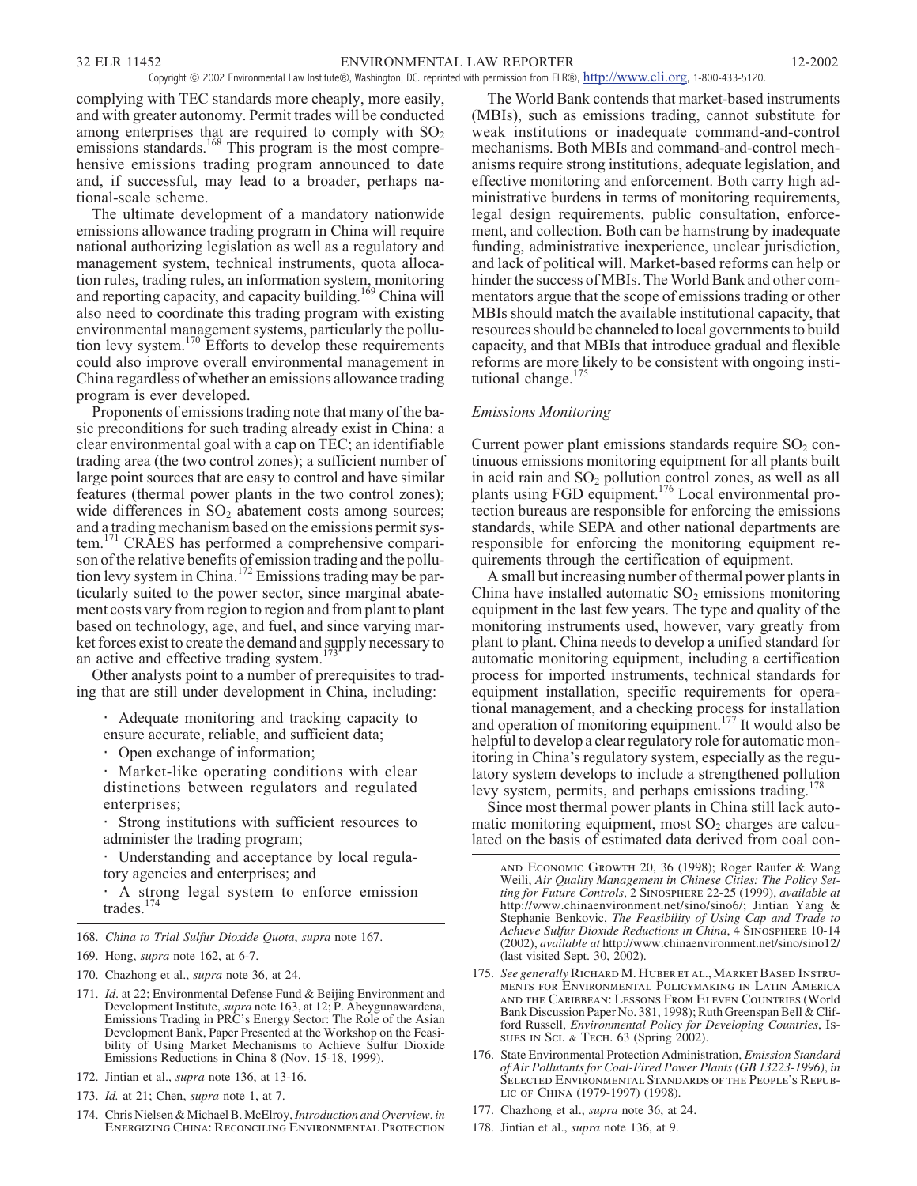complying with TEC standards more cheaply, more easily, and with greater autonomy. Permit trades will be conducted among enterprises that are required to comply with  $SO_2$ emissions standards.<sup>168</sup> This program is the most comprehensive emissions trading program announced to date and, if successful, may lead to a broader, perhaps national-scale scheme.

The ultimate development of a mandatory nationwide emissions allowance trading program in China will require national authorizing legislation as well as a regulatory and management system, technical instruments, quota allocation rules, trading rules, an information system, monitoring and reporting capacity, and capacity building.<sup>169</sup> China will also need to coordinate this trading program with existing environmental management systems, particularly the pollution levy system.<sup>170</sup> Efforts to develop these requirements could also improve overall environmental management in China regardless of whether an emissions allowance trading program is ever developed.

Proponents of emissions trading note that many of the basic preconditions for such trading already exist in China: a clear environmental goal with a cap on TEC; an identifiable trading area (the two control zones); a sufficient number of large point sources that are easy to control and have similar features (thermal power plants in the two control zones); wide differences in  $SO<sub>2</sub>$  abatement costs among sources; and a trading mechanism based on the emissions permit system.<sup>171</sup> CRAES has performed a comprehensive comparison of the relative benefits of emission trading and the pollution levy system in China.<sup>172</sup> Emissions trading may be particularly suited to the power sector, since marginal abatement costs vary from region to region and from plant to plant based on technology, age, and fuel, and since varying market forces exist to create the demand and supply necessary to an active and effective trading system.<sup>173</sup>

Other analysts point to a number of prerequisites to trading that are still under development in China, including:

Adequate monitoring and tracking capacity to ensure accurate, reliable, and sufficient data;

Open exchange of information;

Market-like operating conditions with clear distinctions between regulators and regulated enterprises;

Strong institutions with sufficient resources to administer the trading program;

Understanding and acceptance by local regulatory agencies and enterprises; and

A strong legal system to enforce emission trades. $174$ 

- 168. *China to Trial Sulfur Dioxide Quota*, *supra* note 167.
- 169. Hong, *supra* note 162, at 6-7.
- 170. Chazhong et al., *supra* note 36, at 24.
- 171. *Id*. at 22; Environmental Defense Fund & Beijing Environment and Development Institute,*supra* note 163, at 12; P. Abeygunawardena, Emissions Trading in PRC's Energy Sector: The Role of the Asian Development Bank, Paper Presented at the Workshop on the Feasibility of Using Market Mechanisms to Achieve Sulfur Dioxide Emissions Reductions in China 8 (Nov. 15-18, 1999).
- 172. Jintian et al., *supra* note 136, at 13-16.
- 173. *Id.* at 21; Chen, *supra* note 1, at 7.
- 174. Chris Nielsen & Michael B. McElroy,*Introduction and Overview*, *in Energizing China: Reconciling Environmental Protection*

The World Bank contends that market-based instruments (MBIs), such as emissions trading, cannot substitute for weak institutions or inadequate command-and-control mechanisms. Both MBIs and command-and-control mechanisms require strong institutions, adequate legislation, and effective monitoring and enforcement. Both carry high administrative burdens in terms of monitoring requirements, legal design requirements, public consultation, enforcement, and collection. Both can be hamstrung by inadequate funding, administrative inexperience, unclear jurisdiction, and lack of political will. Market-based reforms can help or hinder the success of MBIs. The World Bank and other commentators argue that the scope of emissions trading or other MBIs should match the available institutional capacity, that resources should be channeled to local governments to build capacity, and that MBIs that introduce gradual and flexible reforms are more likely to be consistent with ongoing institutional change.<sup>175</sup>

# *Emissions Monitoring*

Current power plant emissions standards require  $SO<sub>2</sub>$  continuous emissions monitoring equipment for all plants built in acid rain and  $SO_2$  pollution control zones, as well as all plants using FGD equipment.<sup>176</sup> Local environmental protection bureaus are responsible for enforcing the emissions standards, while SEPA and other national departments are responsible for enforcing the monitoring equipment requirements through the certification of equipment.

A small but increasing number of thermal power plants in China have installed automatic  $SO_2$  emissions monitoring equipment in the last few years. The type and quality of the monitoring instruments used, however, vary greatly from plant to plant. China needs to develop a unified standard for automatic monitoring equipment, including a certification process for imported instruments, technical standards for equipment installation, specific requirements for operational management, and a checking process for installation and operation of monitoring equipment.<sup>177</sup> It would also be helpful to develop a clear regulatory role for automatic monitoring in China's regulatory system, especially as the regulatory system develops to include a strengthened pollution levy system, permits, and perhaps emissions trading.<sup>1</sup>

Since most thermal power plants in China still lack automatic monitoring equipment, most  $SO<sub>2</sub>$  charges are calculated on the basis of estimated data derived from coal con-

- 175. *See generallyRichardM. Huber et al.,Market Based Instruments for Environmental Policymaking in Latin America and the Caribbean: Lessons From Eleven Countries* (World Bank Discussion Paper No. 381, 1998); Ruth Greenspan Bell & Clifford Russell, *Environmental Policy for Developing Countries*, *Issues in Sci. & Tech.* 63 (Spring 2002).
- 176. State Environmental Protection Administration, *Emission Standard of Air Pollutants for Coal-Fired Power Plants (GB 13223-1996)*, *in Selected Environmental Standards of the People's Republic of China* (1979-1997) (1998).
- 177. Chazhong et al., *supra* note 36, at 24.
- 178. Jintian et al., *supra* note 136, at 9.

*and Economic Growth* 20, 36 (1998); Roger Raufer & Wang Weili, *Air Quality Management in Chinese Cities: The Policy Setting for Future Controls*, 2 *Sinosphere* 22-25 (1999), *available at* http://www.chinaenvironment.net/sino/sino6/; Jintian Yang & Stephanie Benkovic, *The Feasibility of Using Cap and Trade to Achieve Sulfur Dioxide Reductions in China*, 4 *Sinosphere* 10-14 (2002), *available at* http://www.chinaenvironment.net/sino/sino12/ (last visited Sept. 30, 2002).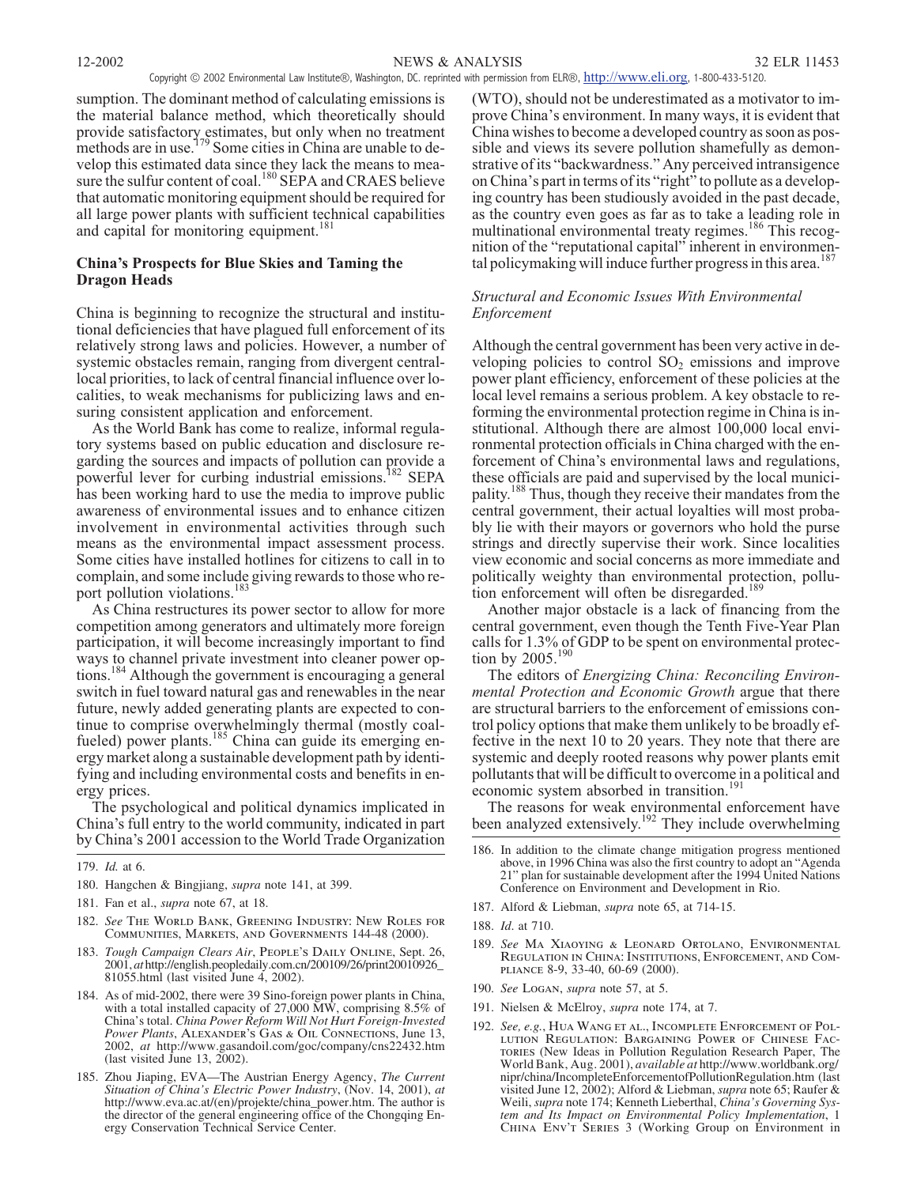NEWS & ANALYSIS 12-2002 32 ELR 11453

Copyright © 2002 Environmental Law Institute®, Washington, DC. reprinted with permission from ELR®, <http://www.eli.org>, 1-800-433-5120.

sumption. The dominant method of calculating emissions is the material balance method, which theoretically should provide satisfactory estimates, but only when no treatment methods are in use.<sup>179</sup> Some cities in China are unable to develop this estimated data since they lack the means to measure the sulfur content of coal.<sup>180</sup> SEPA and CRAES believe that automatic monitoring equipment should be required for all large power plants with sufficient technical capabilities<br>and capital for monitoring equipment  $\frac{181}{181}$ and capital for monitoring equipment.<sup>1</sup>

# **China's Prospects for Blue Skies and Taming the Dragon Heads**

China is beginning to recognize the structural and institutional deficiencies that have plagued full enforcement of its relatively strong laws and policies. However, a number of systemic obstacles remain, ranging from divergent centrallocal priorities, to lack of central financial influence over localities, to weak mechanisms for publicizing laws and ensuring consistent application and enforcement.

As the World Bank has come to realize, informal regulatory systems based on public education and disclosure regarding the sources and impacts of pollution can provide a powerful lever for curbing industrial emissions.<sup>182</sup> SEPA has been working hard to use the media to improve public awareness of environmental issues and to enhance citizen involvement in environmental activities through such means as the environmental impact assessment process. Some cities have installed hotlines for citizens to call in to complain, and some include giving rewards to those who report pollution violations.<sup>183</sup>

As China restructures its power sector to allow for more competition among generators and ultimately more foreign participation, it will become increasingly important to find ways to channel private investment into cleaner power options.<sup>184</sup> Although the government is encouraging a general switch in fuel toward natural gas and renewables in the near future, newly added generating plants are expected to continue to comprise overwhelmingly thermal (mostly coalfueled) power plants.<sup>185</sup> China can guide its emerging energy market along a sustainable development path by identifying and including environmental costs and benefits in energy prices.

The psychological and political dynamics implicated in China's full entry to the world community, indicated in part by China's 2001 accession to the World Trade Organization

- 180. Hangchen & Bingjiang, *supra* note 141, at 399.
- 181. Fan et al., *supra* note 67, at 18.
- 182. *See The World Bank, Greening Industry: New Roles for Communities, Markets, and Governments* 144-48 (2000).
- 183. *Tough Campaign Clears Air*, *People's Daily Online*, Sept. 26, 2001, *at* http://english.peopledaily.com.cn/200109/26/print20010926\_ 81055.html (last visited June 4, 2002).
- 184. As of mid-2002, there were 39 Sino-foreign power plants in China, with a total installed capacity of 27,000 MW, comprising 8.5% of China's total. *China Power Reform Will Not Hurt Foreign-Invested Power Plants*, *Alexander's Gas & Oil Connections*, June 13, 2002, *at* http://www.gasandoil.com/goc/company/cns22432.htm (last visited June 13,  $2002$ ).
- 185. Zhou Jiaping, EVA—The Austrian Energy Agency, *The Current Situation of China's Electric Power Industry*, (Nov. 14, 2001), *at* http://www.eva.ac.at/(en)/projekte/china\_power.htm. The author is the director of the general engineering office of the Chongqing Energy Conservation Technical Service Center.

(WTO), should not be underestimated as a motivator to improve China's environment. In many ways, it is evident that China wishes to become a developed country as soon as possible and views its severe pollution shamefully as demonstrative of its "backwardness." Any perceived intransigence on China's part in terms of its "right" to pollute as a developing country has been studiously avoided in the past decade, as the country even goes as far as to take a leading role in multinational environmental treaty regimes.<sup>186</sup> This recognition of the "reputational capital" inherent in environmental policymaking will induce further progress in this area.<sup>187</sup>

# *Structural and Economic Issues With Environmental Enforcement*

Although the central government has been very active in developing policies to control  $SO_2$  emissions and improve power plant efficiency, enforcement of these policies at the local level remains a serious problem. A key obstacle to reforming the environmental protection regime in China is institutional. Although there are almost 100,000 local environmental protection officials in China charged with the enforcement of China's environmental laws and regulations, these officials are paid and supervised by the local municipality.<sup>188</sup> Thus, though they receive their mandates from the central government, their actual loyalties will most probably lie with their mayors or governors who hold the purse strings and directly supervise their work. Since localities view economic and social concerns as more immediate and politically weighty than environmental protection, pollution enforcement will often be disregarded.<sup>189</sup>

Another major obstacle is a lack of financing from the central government, even though the Tenth Five-Year Plan calls for 1.3% of GDP to be spent on environmental protection by  $2005.^{190}$ 

The editors of *Energizing China: Reconciling Environmental Protection and Economic Growth* argue that there are structural barriers to the enforcement of emissions control policy options that make them unlikely to be broadly effective in the next 10 to 20 years. They note that there are systemic and deeply rooted reasons why power plants emit pollutants that will be difficult to overcome in a political and economic system absorbed in transition.<sup>191</sup>

The reasons for weak environmental enforcement have been analyzed extensively.<sup>192</sup> They include overwhelming

- 187. Alford & Liebman, *supra* note 65, at 714-15.
- 188. *Id*. at 710.
- 189. *See Ma Xiaoying & Leonard Ortolano, Environmental Regulation in China: Institutions, Enforcement, and Compliance* 8-9, 33-40, 60-69 (2000).
- 190. *See Logan*, *supra* note 57, at 5.
- 191. Nielsen & McElroy, *supra* note 174, at 7.
- 192. *See, e.g.*, *Hua Wang et al., Incomplete Enforcement of Pollution Regulation: Bargaining Power of Chinese Factories* (New Ideas in Pollution Regulation Research Paper, The World Bank, Aug. 2001), *available at* http://www.worldbank.org/ nipr/china/IncompleteEnforcementofPollutionRegulation.htm (last visited June 12, 2002); Alford & Liebman, *supra* note 65; Raufer & Weili, *supra* note 174; Kenneth Lieberthal, *China's Governing System and Its Impact on Environmental Policy Implementation*, 1 *China Env't Series* 3 (Working Group on Environment in

<sup>179.</sup> *Id.* at 6.

<sup>186.</sup> In addition to the climate change mitigation progress mentioned above, in 1996 China was also the first country to adopt an "Agenda 21" plan for sustainable development after the 1994 United Nations Conference on Environment and Development in Rio.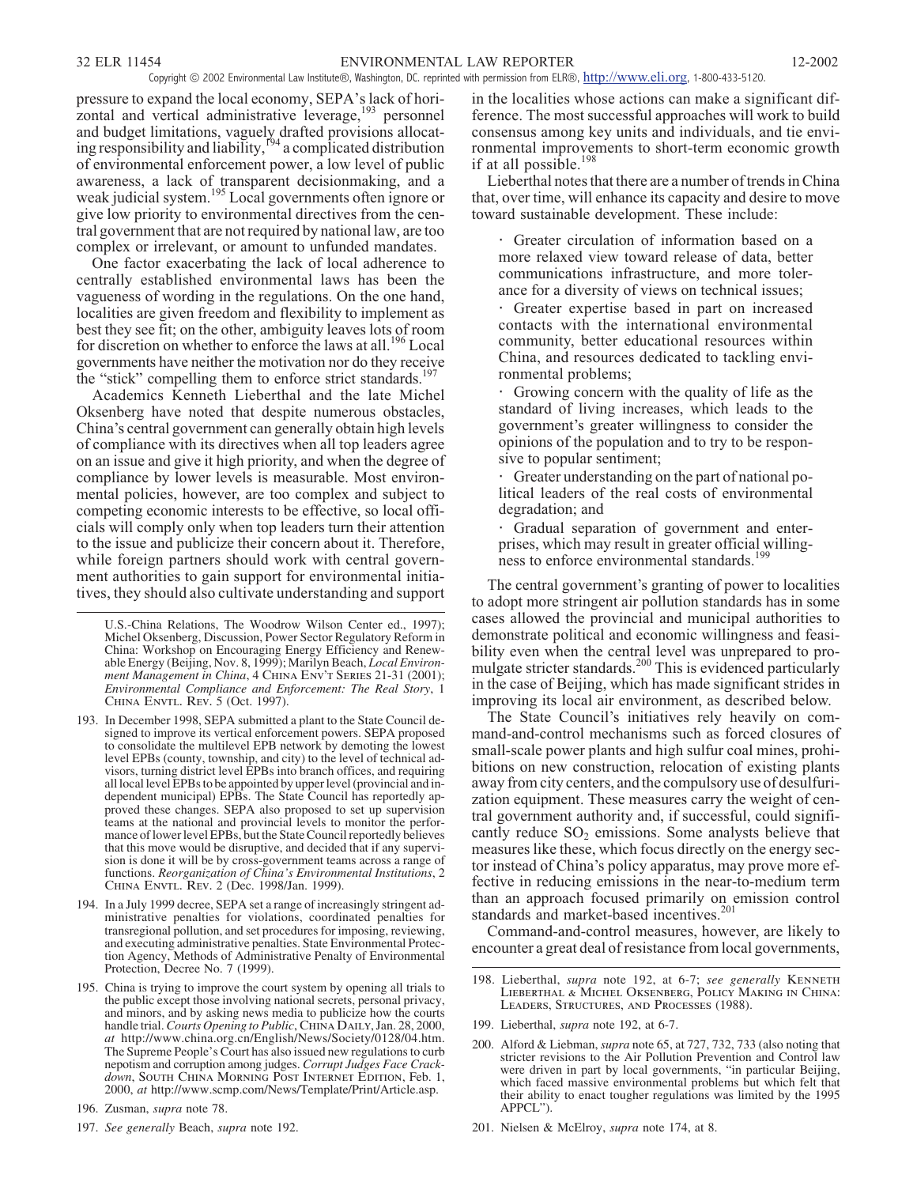pressure to expand the local economy, SEPA's lack of horizontal and vertical administrative leverage,<sup>193</sup> personnel and budget limitations, vaguely drafted provisions allocating responsibility and liability, <sup>194</sup> a complicated distribution of environmental enforcement power, a low level of public awareness, a lack of transparent decisionmaking, and a weak judicial system.<sup>195</sup> Local governments often ignore or give low priority to environmental directives from the central government that are not required by national law, are too complex or irrelevant, or amount to unfunded mandates.

One factor exacerbating the lack of local adherence to centrally established environmental laws has been the vagueness of wording in the regulations. On the one hand, localities are given freedom and flexibility to implement as best they see fit; on the other, ambiguity leaves lots of room for discretion on whether to enforce the laws at all.<sup>196</sup> Local governments have neither the motivation nor do they receive the "stick" compelling them to enforce strict standards.<sup>197</sup>

Academics Kenneth Lieberthal and the late Michel Oksenberg have noted that despite numerous obstacles, China's central government can generally obtain high levels of compliance with its directives when all top leaders agree on an issue and give it high priority, and when the degree of compliance by lower levels is measurable. Most environmental policies, however, are too complex and subject to competing economic interests to be effective, so local officials will comply only when top leaders turn their attention to the issue and publicize their concern about it. Therefore, while foreign partners should work with central government authorities to gain support for environmental initiatives, they should also cultivate understanding and support

- 193. In December 1998, SEPA submitted a plant to the State Council de- signed to improve its vertical enforcement powers. SEPA proposed to consolidate the multilevel EPB network by demoting the lowest<br>level EPBs (county, township, and city) to the level of technical advisors, turning district level EPBs into branch offices, and requiring all local level EPBs to be appointed by upper level (provincial and independent municipal) EPBs. The State Council has reportedly approved these changes. SEPA also proposed to set up supervision teams at the national and provincial levels to monitor the performance of lower level EPBs, but the State Council reportedly believes that this move would be disruptive, and decided that if any supervi- sion is done it will be by cross-government teams across a range of functions. *Reorganization of China's Environmental Institutions*, 2 *China Envtl. Rev.* 2 (Dec. 1998/Jan. 1999).
- 194. In a July 1999 decree, SEPA set a range of increasingly stringent administrative penalties for violations, coordinated penalties for transregional pollution, and set procedures for imposing, reviewing, and executing administrative penalties. State Environmental Protection Agency, Methods of Administrative Penalty of Environmental Protection, Decree No. 7 (1999).
- 195. China is trying to improve the court system by opening all trials to the public except those involving national secrets, personal privacy, and minors, and by asking news media to publicize how the courts handle trial.*Courts Opening to Public*, *China Daily*, Jan. 28, 2000, *at* http://www.china.org.cn/English/News/Society/0128/04.htm. The Supreme People's Court has also issued new regulations to curb nepotism and corruption among judges. *Corrupt Judges Face Crackdown*, *South China Morning Post Internet Edition*, Feb. 1, 2000, *at* http://www.scmp.com/News/Template/Print/Article.asp.
- 196. Zusman, *supra* note 78.
- 197. *See generally* Beach, *supra* note 192.

in the localities whose actions can make a significant difference. The most successful approaches will work to build consensus among key units and individuals, and tie environmental improvements to short-term economic growth if at all possible.<sup>198</sup>

Lieberthal notes that there are a number of trends in China that, over time, will enhance its capacity and desire to move toward sustainable development. These include:

Greater circulation of information based on a more relaxed view toward release of data, better communications infrastructure, and more tolerance for a diversity of views on technical issues;

Greater expertise based in part on increased contacts with the international environmental community, better educational resources within China, and resources dedicated to tackling environmental problems;

Growing concern with the quality of life as the standard of living increases, which leads to the government's greater willingness to consider the opinions of the population and to try to be responsive to popular sentiment;

Greater understanding on the part of national political leaders of the real costs of environmental degradation; and

Gradual separation of government and enterprises, which may result in greater official willingness to enforce environmental standards.<sup>199</sup>

The central government's granting of power to localities to adopt more stringent air pollution standards has in some cases allowed the provincial and municipal authorities to demonstrate political and economic willingness and feasibility even when the central level was unprepared to promulgate stricter standards.<sup>200</sup> This is evidenced particularly in the case of Beijing, which has made significant strides in improving its local air environment, as described below.

The State Council's initiatives rely heavily on command-and-control mechanisms such as forced closures of small-scale power plants and high sulfur coal mines, prohibitions on new construction, relocation of existing plants away from city centers, and the compulsory use of desulfurization equipment. These measures carry the weight of central government authority and, if successful, could significantly reduce  $SO_2$  emissions. Some analysts believe that measures like these, which focus directly on the energy sector instead of China's policy apparatus, may prove more effective in reducing emissions in the near-to-medium term than an approach focused primarily on emission control standards and market-based incentives.<sup>201</sup>

Command-and-control measures, however, are likely to encounter a great deal of resistance from local governments,

- 198. Lieberthal, *supra* note 192, at 6-7; *see generally Kenneth Lieberthal & Michel Oksenberg, Policy Making in China: Leaders, Structures, and Processes* (1988).
- 199. Lieberthal, *supra* note 192, at 6-7.

201. Nielsen & McElroy, *supra* note 174, at 8.

U.S.-China Relations, The Woodrow Wilson Center ed., 1997); Michel Oksenberg, Discussion, Power Sector Regulatory Reform in China: Workshop on Encouraging Energy Efficiency and Renewable Energy (Beijing, Nov. 8, 1999); Marilyn Beach, *Local Environment Management in China*, 4 *China Env't Series* 21-31 (2001); *Environmental Compliance and Enforcement: The Real Story*, 1 *China Envtl. Rev.* 5 (Oct. 1997).

<sup>200.</sup> Alford & Liebman, *supra* note 65, at 727, 732, 733 (also noting that stricter revisions to the Air Pollution Prevention and Control law were driven in part by local governments, "in particular Beijing, which faced massive environmental problems but which felt that their ability to enact tougher regulations was limited by the 1995 APPCL").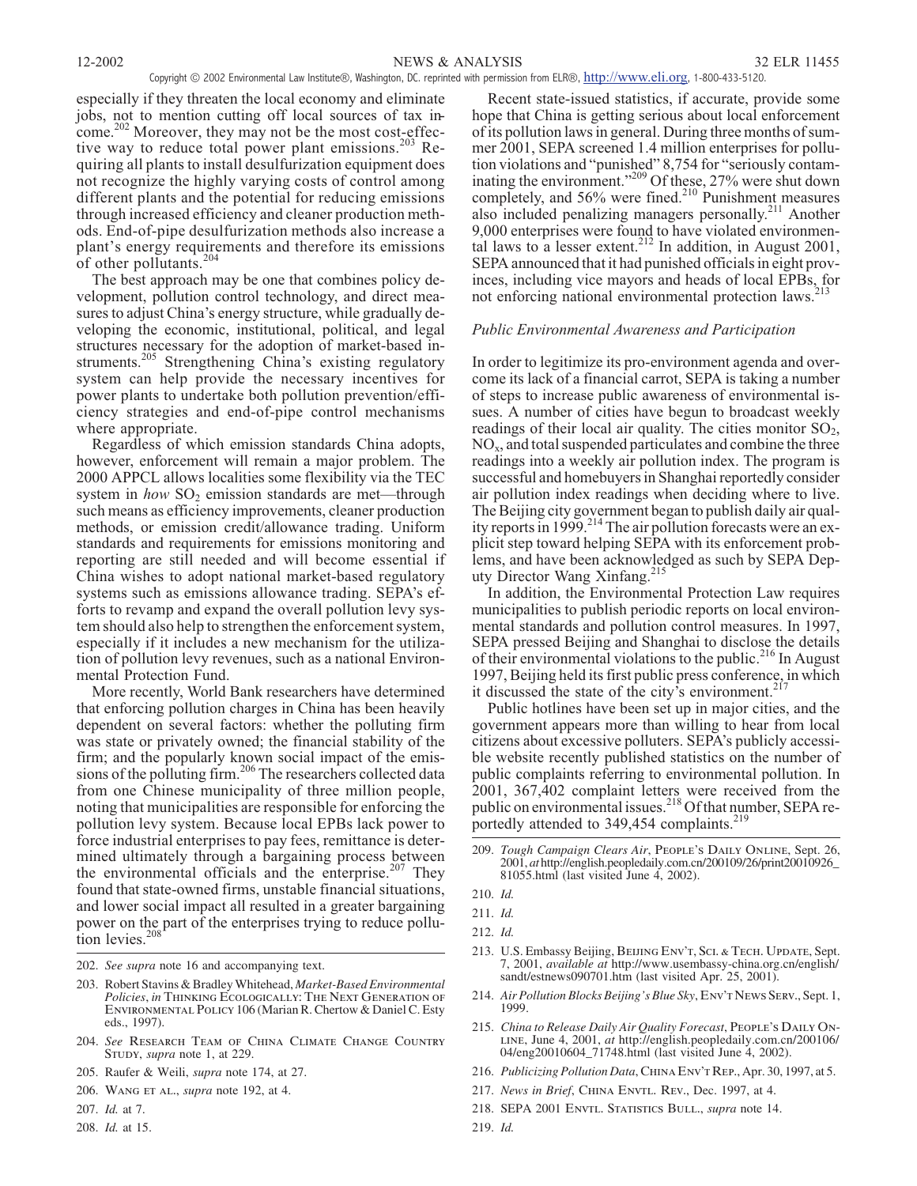especially if they threaten the local economy and eliminate jobs, not to mention cutting off local sources of tax income.<sup>202</sup> Moreover, they may not be the most cost-effective way to reduce total power plant emissions.<sup>203</sup> Requiring all plants to install desulfurization equipment does not recognize the highly varying costs of control among different plants and the potential for reducing emissions through increased efficiency and cleaner production methods. End-of-pipe desulfurization methods also increase a plant's energy requirements and therefore its emissions of other pollutants.<sup>204</sup>

The best approach may be one that combines policy development, pollution control technology, and direct measures to adjust China's energy structure, while gradually developing the economic, institutional, political, and legal structures necessary for the adoption of market-based instruments.<sup>205</sup> Strengthening China's existing regulatory system can help provide the necessary incentives for power plants to undertake both pollution prevention/efficiency strategies and end-of-pipe control mechanisms where appropriate.

Regardless of which emission standards China adopts, however, enforcement will remain a major problem. The 2000 APPCL allows localities some flexibility via the TEC system in *how* SO<sub>2</sub> emission standards are met—through such means as efficiency improvements, cleaner production methods, or emission credit/allowance trading. Uniform standards and requirements for emissions monitoring and reporting are still needed and will become essential if China wishes to adopt national market-based regulatory systems such as emissions allowance trading. SEPA's efforts to revamp and expand the overall pollution levy system should also help to strengthen the enforcement system, especially if it includes a new mechanism for the utilization of pollution levy revenues, such as a national Environmental Protection Fund.

More recently, World Bank researchers have determined that enforcing pollution charges in China has been heavily dependent on several factors: whether the polluting firm was state or privately owned; the financial stability of the firm; and the popularly known social impact of the emissions of the polluting firm.<sup>206</sup> The researchers collected data from one Chinese municipality of three million people, noting that municipalities are responsible for enforcing the pollution levy system. Because local EPBs lack power to force industrial enterprises to pay fees, remittance is determined ultimately through a bargaining process between the environmental officials and the enterprise. $207$  They found that state-owned firms, unstable financial situations, and lower social impact all resulted in a greater bargaining power on the part of the enterprises trying to reduce pollution levies.<sup>208</sup>

202. *See supra* note 16 and accompanying text.

- 203. Robert Stavins & BradleyWhitehead, *Market-Based Environmental Policies*, *in Thinking Ecologically: The Next Generation of Environmental Policy* 106 (Marian R. Chertow & Daniel C. Esty eds., 1997).
- 204. *See Research Team of China Climate Change Country Study*, *supra* note 1, at 229.
- 205. Raufer & Weili, *supra* note 174, at 27.
- 206. *Wang et al.*, *supra* note 192, at 4.
- 207. *Id.* at 7.
- 208. *Id.* at 15.

Recent state-issued statistics, if accurate, provide some hope that China is getting serious about local enforcement of its pollution laws in general. During three months of summer 2001, SEPA screened 1.4 million enterprises for pollution violations and "punished" 8,754 for "seriously contaminating the environment."<sup>209</sup> Of these, 27% were shut down completely, and 56% were fined.<sup>210</sup> Punishment measures also included penalizing managers personally.<sup>211</sup> Another 9,000 enterprises were found to have violated environmental laws to a lesser extent.<sup>212</sup> In addition, in August 2001, SEPA announced that it had punished officials in eight provinces, including vice mayors and heads of local EPBs, for not enforcing national environmental protection laws.

### *Public Environmental Awareness and Participation*

In order to legitimize its pro-environment agenda and overcome its lack of a financial carrot, SEPA is taking a number of steps to increase public awareness of environmental issues. A number of cities have begun to broadcast weekly readings of their local air quality. The cities monitor  $SO_2$ ,  $NO<sub>x</sub>$ , and total suspended particulates and combine the three readings into a weekly air pollution index. The program is successful and homebuyers in Shanghai reportedly consider air pollution index readings when deciding where to live. The Beijing city government began to publish daily air quality reports in 1999.<sup>214</sup> The air pollution forecasts were an explicit step toward helping SEPA with its enforcement problems, and have been acknowledged as such by SEPA Deputy Director Wang Xinfang.<sup>215</sup>

In addition, the Environmental Protection Law requires municipalities to publish periodic reports on local environmental standards and pollution control measures. In 1997, SEPA pressed Beijing and Shanghai to disclose the details of their environmental violations to the public.<sup>216</sup> In August 1997, Beijing held its first public press conference, in which it discussed the state of the city's environment. $21$ 

Public hotlines have been set up in major cities, and the government appears more than willing to hear from local citizens about excessive polluters. SEPA's publicly accessible website recently published statistics on the number of public complaints referring to environmental pollution. In 2001, 367,402 complaint letters were received from the public on environmental issues.<sup>218</sup> Of that number, SEPA reportedly attended to 349,454 complaints.<sup>219</sup>

209. *Tough Campaign Clears Air*, *People's Daily Online*, Sept. 26, 2001, *at* http://english.peopledaily.com.cn/200109/26/print20010926\_ 81055.html (last visited June 4, 2002).

- 213. U.S. Embassy Beijing, *Beijing Env't, Sci. & Tech. Update*, Sept. 7, 2001, *available at* http://www.usembassy-china.org.cn/english/ sandt/estnews090701.htm (last visited Apr. 25, 2001).
- 214. *Air Pollution Blocks Beijing's Blue Sky*, *Env't News Serv.*, Sept. 1, 1999.
- 215. *China to Release Daily Air Quality Forecast*, *People's Daily Online*, June 4, 2001, *at* http://english.peopledaily.com.cn/200106/ 04/eng20010604\_71748.html (last visited June 4, 2002).
- 216. *Publicizing Pollution Data*, *China Env't Rep.*, Apr. 30, 1997, at 5.
- 217. *News in Brief*, *China Envtl. Rev.*, Dec. 1997, at 4.
- 218. SEPA 2001 *Envtl. Statistics Bull.*, *supra* note 14.
- 219. *Id.*

<sup>210.</sup> *Id.*

<sup>211.</sup> *Id.*

<sup>212.</sup> *Id.*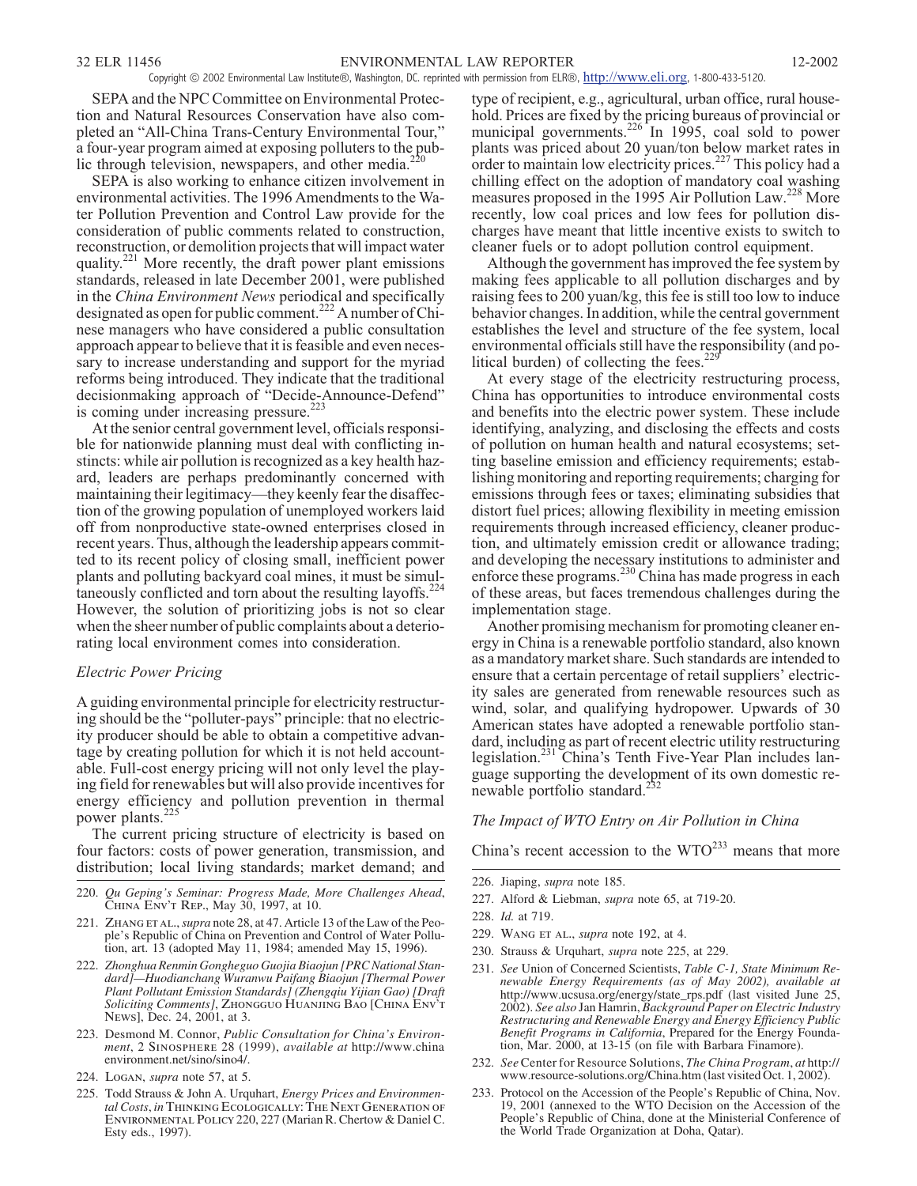SEPA and the NPC Committee on Environmental Protection and Natural Resources Conservation have also completed an "All-China Trans-Century Environmental Tour," a four-year program aimed at exposing polluters to the public through television, newspapers, and other media. $^{22}$ 

SEPA is also working to enhance citizen involvement in environmental activities. The 1996 Amendments to the Water Pollution Prevention and Control Law provide for the consideration of public comments related to construction, reconstruction, or demolition projects that will impact water quality.<sup>221</sup> More recently, the draft power plant emissions standards, released in late December 2001, were published in the *China Environment News* periodical and specifically designated as open for public comment.<sup>222</sup> A number of Chinese managers who have considered a public consultation approach appear to believe that it is feasible and even necessary to increase understanding and support for the myriad reforms being introduced. They indicate that the traditional decisionmaking approach of "Decide-Announce-Defend" is coming under increasing pressure.<sup>2</sup>

At the senior central government level, officials responsible for nationwide planning must deal with conflicting instincts: while air pollution is recognized as a key health hazard, leaders are perhaps predominantly concerned with maintaining their legitimacy—they keenly fear the disaffection of the growing population of unemployed workers laid off from nonproductive state-owned enterprises closed in recent years. Thus, although the leadership appears committed to its recent policy of closing small, inefficient power plants and polluting backyard coal mines, it must be simultaneously conflicted and torn about the resulting layoffs.<sup>224</sup> However, the solution of prioritizing jobs is not so clear when the sheer number of public complaints about a deteriorating local environment comes into consideration.

#### *Electric Power Pricing*

A guiding environmental principle for electricity restructuring should be the "polluter-pays" principle: that no electricity producer should be able to obtain a competitive advantage by creating pollution for which it is not held accountable. Full-cost energy pricing will not only level the playing field for renewables but will also provide incentives for energy efficiency and pollution prevention in thermal power plants.<sup>225</sup>

The current pricing structure of electricity is based on four factors: costs of power generation, transmission, and distribution; local living standards; market demand; and

- 220. *Qu Geping's Seminar: Progress Made, More Challenges Ahead*, *China Env't Rep.*, May 30, 1997, at 10.
- 221. *Zhang et al.*,*supra* note 28, at 47. Article 13 of the Law of the People's Republic of China on Prevention and Control of Water Pollution, art. 13 (adopted May 11, 1984; amended May 15, 1996).
- 222. *Zhonghua Renmin Gongheguo Guojia Biaojun [PRC National Standard]—Huodianchang Wuranwu Paifang Biaojun [Thermal Power Plant Pollutant Emission Standards] (Zhengqiu Yijian Gao) [Draft Soliciting Comments]*, *Zhongguo Huanjing Bao* [*China Env't News*], Dec. 24, 2001, at 3.
- 223. Desmond M. Connor, *Public Consultation for China's Environment*, 2 *Sinosphere* 28 (1999), *available at* http://www.china environment.net/sino/sino4/.
- 224. *Logan*, *supra* note 57, at 5.
- 225. Todd Strauss & John A. Urquhart, *Energy Prices and Environmen-tal Costs*, *in Thinking Ecologically: The Next Generation of Environmental Policy* 220, 227 (Marian R. Chertow & Daniel C. Esty eds., 1997).

type of recipient, e.g., agricultural, urban office, rural household. Prices are fixed by the pricing bureaus of provincial or municipal governments.<sup>226</sup> In 1995, coal sold to power plants was priced about 20 yuan/ton below market rates in order to maintain low electricity prices.<sup>227</sup> This policy had a chilling effect on the adoption of mandatory coal washing measures proposed in the 1995 Air Pollution Law.<sup>228</sup> More recently, low coal prices and low fees for pollution discharges have meant that little incentive exists to switch to cleaner fuels or to adopt pollution control equipment.

Although the government has improved the fee system by making fees applicable to all pollution discharges and by raising fees to 200 yuan/kg, this fee is still too low to induce behavior changes. In addition, while the central government establishes the level and structure of the fee system, local environmental officials still have the responsibility (and political burden) of collecting the fees. $22$ 

At every stage of the electricity restructuring process, China has opportunities to introduce environmental costs and benefits into the electric power system. These include identifying, analyzing, and disclosing the effects and costs of pollution on human health and natural ecosystems; setting baseline emission and efficiency requirements; establishing monitoring and reporting requirements; charging for emissions through fees or taxes; eliminating subsidies that distort fuel prices; allowing flexibility in meeting emission requirements through increased efficiency, cleaner production, and ultimately emission credit or allowance trading; and developing the necessary institutions to administer and enforce these programs.<sup>230</sup> China has made progress in each of these areas, but faces tremendous challenges during the implementation stage.

Another promising mechanism for promoting cleaner energy in China is a renewable portfolio standard, also known as a mandatory market share. Such standards are intended to ensure that a certain percentage of retail suppliers' electricity sales are generated from renewable resources such as wind, solar, and qualifying hydropower. Upwards of 30 American states have adopted a renewable portfolio standard, including as part of recent electric utility restructuring legislation.<sup>231</sup> China's Tenth Five-Year Plan includes language supporting the development of its own domestic renewable portfolio standard.<sup>2</sup>

# *The Impact of WTO Entry on Air Pollution in China*

China's recent accession to the  $WTO^{233}$  means that more

227. Alford & Liebman, *supra* note 65, at 719-20.

- 229. *Wang et al.*, *supra* note 192, at 4.
- 230. Strauss & Urquhart, *supra* note 225, at 229.
- 231. *See* Union of Concerned Scientists, *Table C-1, State Minimum Renewable Energy Requirements (as of May 2002), available at* http://www.ucsusa.org/energy/state\_rps.pdf (last visited June 25, 2002). *See also* Jan Hamrin, *Background Paper on Electric Industry Restructuring and Renewable Energy and Energy Efficiency Public Benefit Programs in California*, Prepared for the Energy Foundation, Mar. 2000, at 13-15 (on file with Barbara Finamore).
- 232. *See* Center for Resource Solutions, *The China Program*, *at* http:// www.resource-solutions.org/China.htm (last visited Oct. 1, 2002).
- 233. Protocol on the Accession of the People's Republic of China, Nov. 19, 2001 (annexed to the WTO Decision on the Accession of the People's Republic of China, done at the Ministerial Conference of the World Trade Organization at Doha, Qatar).

<sup>226.</sup> Jiaping, *supra* note 185.

<sup>228.</sup> *Id.* at 719.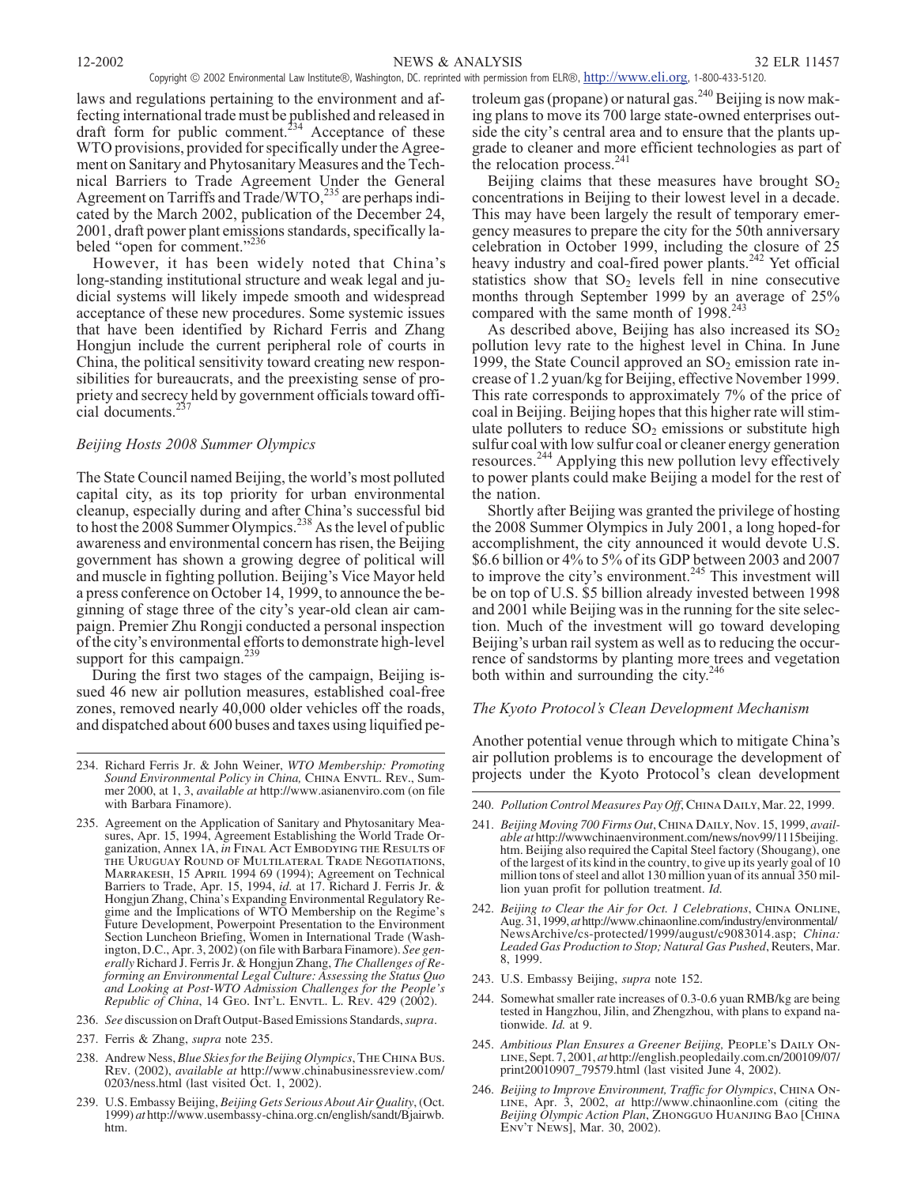laws and regulations pertaining to the environment and affecting international trade must be published and released in draft form for public comment.<sup>234</sup> Acceptance of these WTO provisions, provided for specifically under the Agreement on Sanitary and Phytosanitary Measures and the Technical Barriers to Trade Agreement Under the General Agreement on Tarriffs and Trade/WTO,<sup>235</sup> are perhaps indicated by the March 2002, publication of the December 24, 2001, draft power plant emissions standards, specifically labeled "open for comment."<sup>236</sup>

However, it has been widely noted that China's long-standing institutional structure and weak legal and judicial systems will likely impede smooth and widespread acceptance of these new procedures. Some systemic issues that have been identified by Richard Ferris and Zhang Hongjun include the current peripheral role of courts in China, the political sensitivity toward creating new responsibilities for bureaucrats, and the preexisting sense of propriety and secrecy held by government officials toward official documents.<sup>2</sup>

# *Beijing Hosts 2008 Summer Olympics*

The State Council named Beijing, the world's most polluted capital city, as its top priority for urban environmental cleanup, especially during and after China's successful bid to host the 2008 Summer Olympics.<sup>238</sup> As the level of public awareness and environmental concern has risen, the Beijing government has shown a growing degree of political will and muscle in fighting pollution. Beijing's Vice Mayor held a press conference on October 14, 1999, to announce the beginning of stage three of the city's year-old clean air campaign. Premier Zhu Rongji conducted a personal inspection of the city's environmental efforts to demonstrate high-level support for this campaign.<sup>239</sup>

During the first two stages of the campaign, Beijing issued 46 new air pollution measures, established coal-free zones, removed nearly 40,000 older vehicles off the roads, and dispatched about 600 buses and taxes using liquified pe-

- 235. Agreement on the Application of Sanitary and Phytosanitary Measures, Apr. 15, 1994, Agreement Establishing the World Trade Organization, Annex 1A, *in Final Act Embodying the Results of the Uruguay Round of Multilateral Trade Negotiations, Marrakesh,* 15 *April* 1994 69 (1994); Agreement on Technical Barriers to Trade, Apr. 15, 1994, *id.* at 17. Richard J. Ferris Jr. & Hongjun Zhang, China's Expanding Environmental Regulatory Regime and the Implications of WTO Membership on the Regime's Future Development, Powerpoint Presentation to the Environment Section Luncheon Briefing, Women in International Trade (Washington, D.C., Apr. 3, 2002) (on file with Barbara Finamore). *See generally* Richard J. Ferris Jr. & Hongjun Zhang, *The Challenges of Reforming an Environmental Legal Culture: Assessing the Status Quo and Looking at Post-WTO Admission Challenges for the People's Republic of China*, 14 *Geo. Int'l. Envtl. L. Rev.* 429 (2002).
- 236. *See* discussion on Draft Output-Based Emissions Standards,*supra*.
- 237. Ferris & Zhang, *supra* note 235.
- 238. Andrew Ness, *Blue Skies for the Beijing Olympics*,*The China Bus. Rev.* (2002), *available at* http://www.chinabusinessreview.com/ 0203/ness.html (last visited Oct. 1, 2002).
- 239. U.S. Embassy Beijing, *Beijing Gets Serious About Air Quality*, (Oct. 1999) *at* http://www.usembassy-china.org.cn/english/sandt/Bjairwb. htm.

troleum gas (propane) or natural gas.<sup>240</sup> Beijing is now making plans to move its 700 large state-owned enterprises outside the city's central area and to ensure that the plants upgrade to cleaner and more efficient technologies as part of the relocation process.<sup>241</sup>

Beijing claims that these measures have brought  $SO<sub>2</sub>$ concentrations in Beijing to their lowest level in a decade. This may have been largely the result of temporary emergency measures to prepare the city for the 50th anniversary celebration in October 1999, including the closure of 25 heavy industry and coal-fired power plants.<sup>242</sup> Yet official statistics show that  $SO<sub>2</sub>$  levels fell in nine consecutive months through September 1999 by an average of 25% compared with the same month of  $1998.<sup>243</sup>$ 

As described above, Beijing has also increased its  $SO<sub>2</sub>$ pollution levy rate to the highest level in China. In June 1999, the State Council approved an  $SO_2$  emission rate increase of 1.2 yuan/kg for Beijing, effective November 1999. This rate corresponds to approximately 7% of the price of coal in Beijing. Beijing hopes that this higher rate will stimulate polluters to reduce  $SO_2$  emissions or substitute high sulfur coal with low sulfur coal or cleaner energy generation resources.<sup>244</sup> Applying this new pollution levy effectively to power plants could make Beijing a model for the rest of the nation.

Shortly after Beijing was granted the privilege of hosting the 2008 Summer Olympics in July 2001, a long hoped-for accomplishment, the city announced it would devote U.S. \$6.6 billion or 4% to 5% of its GDP between 2003 and 2007 to improve the city's environment. $245$  This investment will be on top of U.S. \$5 billion already invested between 1998 and 2001 while Beijing was in the running for the site selection. Much of the investment will go toward developing Beijing's urban rail system as well as to reducing the occurrence of sandstorms by planting more trees and vegetation both within and surrounding the city. $246$ 

# *The Kyoto Protocol's Clean Development Mechanism*

Another potential venue through which to mitigate China's air pollution problems is to encourage the development of projects under the Kyoto Protocol's clean development

- 240. *Pollution Control Measures Pay Off*, *China Daily*, Mar. 22, 1999.
- 241. *Beijing Moving 700 Firms Out*, *China Daily*, Nov. 15, 1999, *available at* http://wwwchinaenvironment.com/news/nov99/1115beijing. htm. Beijing also required the Capital Steel factory (Shougang), one of the largest of its kind in the country, to give up its yearly goal of 10 million tons of steel and allot 130 million yuan of its annual 350 million yuan profit for pollution treatment. *Id.*
- 242. *Beijing to Clear the Air for Oct. 1 Celebrations*, *China Online*, Aug. 31, 1999,*at*http://www.chinaonline.com/industry/environmental/ NewsArchive/cs-protected/1999/august/c9083014.asp; *China: Leaded Gas Production to Stop; Natural Gas Pushed*, Reuters, Mar. 8, 1999.
- 243. U.S. Embassy Beijing, *supra* note 152.
- 244. Somewhat smaller rate increases of 0.3-0.6 yuan RMB/kg are being tested in Hangzhou, Jilin, and Zhengzhou, with plans to expand nationwide. *Id.* at 9.
- 245. *Ambitious Plan Ensures a Greener Beijing, People's Daily Online*, Sept. 7, 2001, *at* http://english.peopledaily.com.cn/200109/07/ print20010907\_79579.html (last visited June 4, 2002).
- 246. *Beijing to Improve Environment, Traffic for Olympics*, *China Online*, Apr. 3, 2002, *at* http://www.chinaonline.com (citing the *Beijing Olympic Action Plan*, *Zhongguo Huanjing Bao* [*China Env't News*], Mar. 30, 2002).

<sup>234.</sup> Richard Ferris Jr. & John Weiner, *WTO Membership: Promoting Sound Environmental Policy in China, China Envtl. Rev.*, Summer 2000, at 1, 3, *available at* http://www.asianenviro.com (on file with Barbara Finamore).